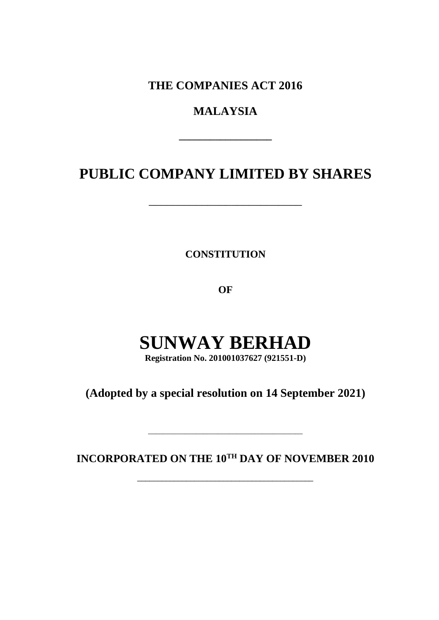**THE COMPANIES ACT 2016**

# **MALAYSIA**

**\_\_\_\_\_\_\_\_\_\_\_\_\_\_\_\_\_\_**

# **PUBLIC COMPANY LIMITED BY SHARES**

\_\_\_\_\_\_\_\_\_\_\_\_\_\_\_\_\_\_\_\_\_\_\_\_\_\_

**CONSTITUTION**

**OF**

# **SUNWAY BERHAD**

**Registration No. 201001037627 (921551-D)**

**(Adopted by a special resolution on 14 September 2021)**

**INCORPORATED ON THE 10TH DAY OF NOVEMBER 2010**

\_\_\_\_\_\_\_\_\_\_\_\_\_\_\_\_\_\_\_\_\_\_\_\_\_\_\_\_\_\_\_\_\_\_\_\_\_\_\_\_\_\_\_

\_\_\_\_\_\_\_\_\_\_\_\_\_\_\_\_\_\_\_\_\_\_\_\_\_\_\_\_\_\_\_\_\_\_\_\_\_\_\_\_\_\_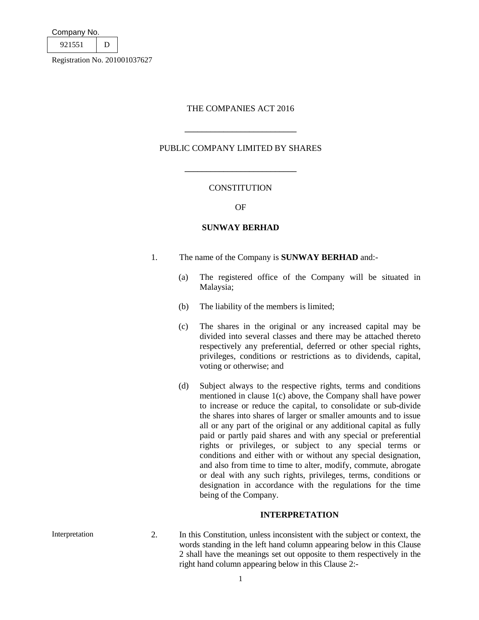| Company No. |  |
|-------------|--|
| 921551      |  |
|             |  |

### THE COMPANIES ACT 2016

PUBLIC COMPANY LIMITED BY SHARES

 $\overline{\phantom{a}}$  , where  $\overline{\phantom{a}}$  , where  $\overline{\phantom{a}}$  , where  $\overline{\phantom{a}}$ 

\_\_\_\_\_\_\_\_\_\_\_\_\_\_\_\_\_\_\_\_\_\_\_\_\_\_

# CONSTITUTION

OF

# **SUNWAY BERHAD**

- 1. The name of the Company is **SUNWAY BERHAD** and:-
	- (a) The registered office of the Company will be situated in Malaysia;
	- (b) The liability of the members is limited;
	- (c) The shares in the original or any increased capital may be divided into several classes and there may be attached thereto respectively any preferential, deferred or other special rights, privileges, conditions or restrictions as to dividends, capital, voting or otherwise; and
	- (d) Subject always to the respective rights, terms and conditions mentioned in clause 1(c) above, the Company shall have power to increase or reduce the capital, to consolidate or sub-divide the shares into shares of larger or smaller amounts and to issue all or any part of the original or any additional capital as fully paid or partly paid shares and with any special or preferential rights or privileges, or subject to any special terms or conditions and either with or without any special designation, and also from time to time to alter, modify, commute, abrogate or deal with any such rights, privileges, terms, conditions or designation in accordance with the regulations for the time being of the Company.

# **INTERPRETATION**

Interpretation 2. In this Constitution, unless inconsistent with the subject or context, the words standing in the left hand column appearing below in this Clause 2 shall have the meanings set out opposite to them respectively in the right hand column appearing below in this Clause 2:-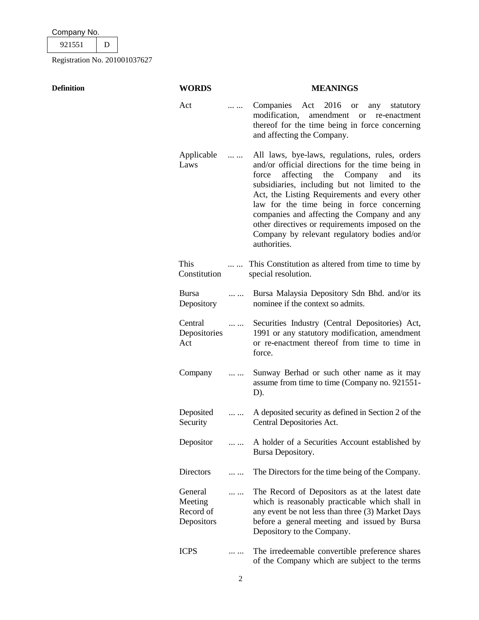| Company No. |  |  |  |  |  |  |
|-------------|--|--|--|--|--|--|
|             |  |  |  |  |  |  |

**Definition WORDS MEANINGS**

Act ... ... Companies Act 2016 or any statutory modification, amendment or re-enactment thereof for the time being in force concerning and affecting the Company. Applicable Laws ... ... All laws, bye-laws, regulations, rules, orders and/or official directions for the time being in force affecting the Company and its subsidiaries, including but not limited to the Act, the Listing Requirements and every other law for the time being in force concerning companies and affecting the Company and any other directives or requirements imposed on the Company by relevant regulatory bodies and/or authorities. This **Constitution** ... ... This Constitution as altered from time to time by special resolution. Bursa Depository ... ... Bursa Malaysia Depository Sdn Bhd. and/or its nominee if the context so admits. Central Depositories Act ... ... Securities Industry (Central Depositories) Act, 1991 or any statutory modification, amendment or re-enactment thereof from time to time in force. Company ... ... Sunway Berhad or such other name as it may assume from time to time (Company no. 921551- D). Deposited Security ... ... A deposited security as defined in Section 2 of the Central Depositories Act. Depositor ... ... A holder of a Securities Account established by Bursa Depository. Directors ... ... The Directors for the time being of the Company. General Meeting Record of Depositors ... ... The Record of Depositors as at the latest date which is reasonably practicable which shall in any event be not less than three (3) Market Days before a general meeting and issued by Bursa Depository to the Company.

ICPS ... ... The irredeemable convertible preference shares of the Company which are subject to the terms

| I | ۰ |        |  |
|---|---|--------|--|
|   |   | I<br>I |  |
|   |   | ٦      |  |
|   |   |        |  |
|   |   |        |  |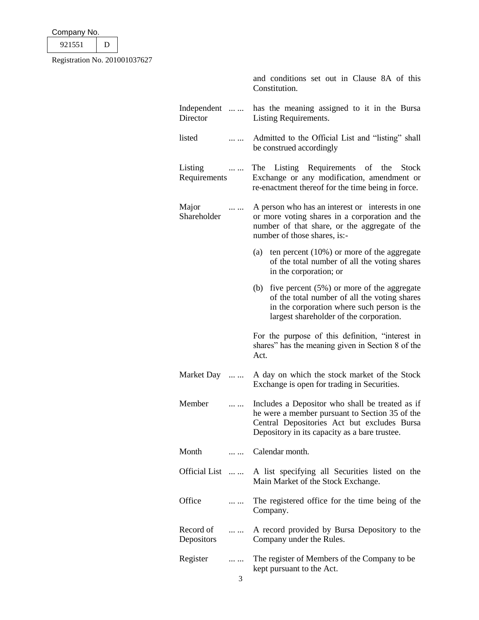| Company No. |  |
|-------------|--|
| 921551      |  |

|                                            | and conditions set out in Clause 8A of this<br>Constitution.                                                                                                                                      |  |  |  |  |
|--------------------------------------------|---------------------------------------------------------------------------------------------------------------------------------------------------------------------------------------------------|--|--|--|--|
| Independent<br>Director                    | has the meaning assigned to it in the Bursa<br>Listing Requirements.                                                                                                                              |  |  |  |  |
| listed                                     | Admitted to the Official List and "listing" shall<br>be construed accordingly                                                                                                                     |  |  |  |  |
| Listing<br>$\cdots$<br>Requirements        | The Listing Requirements of the Stock<br>Exchange or any modification, amendment or<br>re-enactment thereof for the time being in force.                                                          |  |  |  |  |
| Major<br>$\cdots$ $\cdots$<br>Shareholder  | A person who has an interest or interests in one<br>or more voting shares in a corporation and the<br>number of that share, or the aggregate of the<br>number of those shares, is:-               |  |  |  |  |
|                                            | (a) ten percent $(10\%)$ or more of the aggregate<br>of the total number of all the voting shares<br>in the corporation; or                                                                       |  |  |  |  |
|                                            | five percent $(5\%)$ or more of the aggregate<br>(b)<br>of the total number of all the voting shares<br>in the corporation where such person is the<br>largest shareholder of the corporation.    |  |  |  |  |
|                                            | For the purpose of this definition, "interest in<br>shares" has the meaning given in Section 8 of the<br>Act.                                                                                     |  |  |  |  |
| Market Day                                 | A day on which the stock market of the Stock<br>Exchange is open for trading in Securities.                                                                                                       |  |  |  |  |
| Member                                     | Includes a Depositor who shall be treated as if<br>he were a member pursuant to Section 35 of the<br>Central Depositories Act but excludes Bursa<br>Depository in its capacity as a bare trustee. |  |  |  |  |
| Month<br>.                                 | Calendar month.                                                                                                                                                                                   |  |  |  |  |
| Official List                              | A list specifying all Securities listed on the<br>Main Market of the Stock Exchange.                                                                                                              |  |  |  |  |
| Office<br>                                 | The registered office for the time being of the<br>Company.                                                                                                                                       |  |  |  |  |
| Record of<br>$\cdots$<br><b>Depositors</b> | A record provided by Bursa Depository to the<br>Company under the Rules.                                                                                                                          |  |  |  |  |
| Register<br>.                              | The register of Members of the Company to be<br>kept pursuant to the Act.                                                                                                                         |  |  |  |  |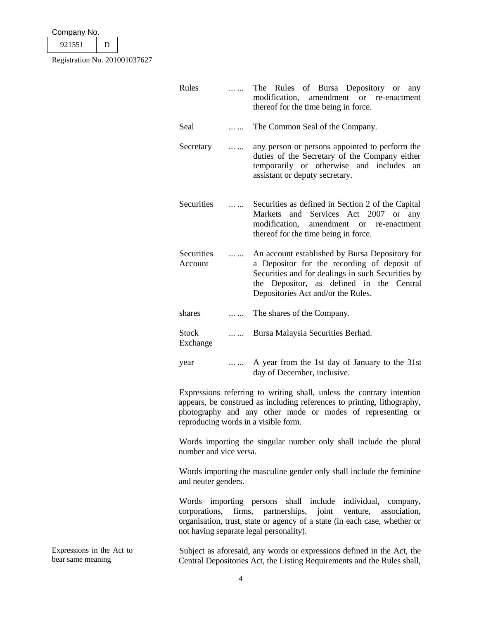| Company No. |  |  |  |  |  |
|-------------|--|--|--|--|--|
| 921551      |  |  |  |  |  |
|             |  |  |  |  |  |

|          | Rules                                                                                       |          | The Rules of Bursa Depository or<br>any<br>modification,<br>amendment or re-enactment<br>thereof for the time being in force.                                                                                                                          |  |  |  |
|----------|---------------------------------------------------------------------------------------------|----------|--------------------------------------------------------------------------------------------------------------------------------------------------------------------------------------------------------------------------------------------------------|--|--|--|
|          | Seal                                                                                        |          | The Common Seal of the Company.                                                                                                                                                                                                                        |  |  |  |
|          | Secretary                                                                                   | $\cdots$ | any person or persons appointed to perform the<br>duties of the Secretary of the Company either<br>temporarily or otherwise and includes an<br>assistant or deputy secretary.                                                                          |  |  |  |
|          | Securities                                                                                  | $\cdots$ | Securities as defined in Section 2 of the Capital<br>Markets<br>and Services Act 2007 or any<br>modification,<br>amendment or re-enactment<br>thereof for the time being in force.                                                                     |  |  |  |
|          | Securities<br>Account                                                                       |          | An account established by Bursa Depository for<br>a Depositor for the recording of deposit of<br>Securities and for dealings in such Securities by<br>the Depositor, as defined in the Central<br>Depositories Act and/or the Rules.                   |  |  |  |
|          | shares                                                                                      |          | The shares of the Company.                                                                                                                                                                                                                             |  |  |  |
|          | <b>Stock</b><br>Exchange                                                                    |          | Bursa Malaysia Securities Berhad.                                                                                                                                                                                                                      |  |  |  |
|          | year                                                                                        |          | A year from the 1st day of January to the 31st<br>day of December, inclusive.                                                                                                                                                                          |  |  |  |
|          |                                                                                             |          | Expressions referring to writing shall, unless the contrary intention<br>appears, be construed as including references to printing, lithography,<br>photography and any other mode or modes of representing or<br>reproducing words in a visible form. |  |  |  |
|          | Words importing the singular number only shall include the plural<br>number and vice versa. |          |                                                                                                                                                                                                                                                        |  |  |  |
|          | and neuter genders.                                                                         |          | Words importing the masculine gender only shall include the feminine                                                                                                                                                                                   |  |  |  |
|          | corporations,                                                                               |          | Words importing persons shall include individual,<br>company,<br>firms, partnerships, joint venture, association,<br>organisation, trust, state or agency of a state (in each case, whether or<br>not having separate legal personality).              |  |  |  |
| $Act$ to |                                                                                             |          | Subject as aforesaid any words or expressions defined in the $\Lambda$ of the                                                                                                                                                                          |  |  |  |

Expressions in the Act to bear same meaning

Subject as aforesaid, any words or expressions defined in the Act, the Central Depositories Act, the Listing Requirements and the Rules shall,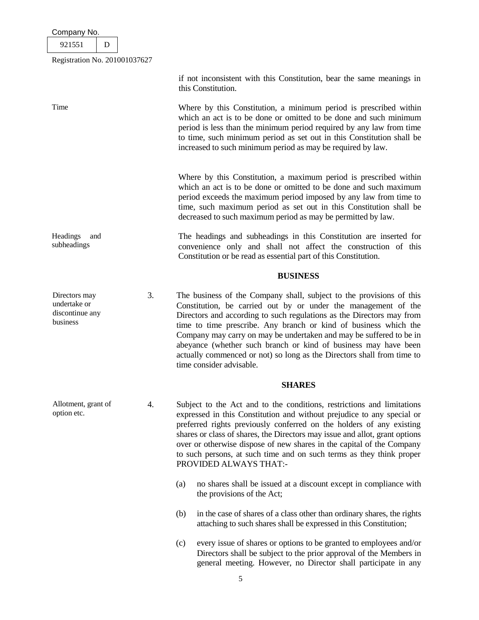921551 D

Registration No. 201001037627

|                                                              |    | if not inconsistent with this Constitution, bear the same meanings in<br>this Constitution.                                                                                                                                                                                                                                                                                                                                                                                                                                         |
|--------------------------------------------------------------|----|-------------------------------------------------------------------------------------------------------------------------------------------------------------------------------------------------------------------------------------------------------------------------------------------------------------------------------------------------------------------------------------------------------------------------------------------------------------------------------------------------------------------------------------|
| Time                                                         |    | Where by this Constitution, a minimum period is prescribed within<br>which an act is to be done or omitted to be done and such minimum<br>period is less than the minimum period required by any law from time<br>to time, such minimum period as set out in this Constitution shall be<br>increased to such minimum period as may be required by law.                                                                                                                                                                              |
|                                                              |    | Where by this Constitution, a maximum period is prescribed within<br>which an act is to be done or omitted to be done and such maximum<br>period exceeds the maximum period imposed by any law from time to<br>time, such maximum period as set out in this Constitution shall be<br>decreased to such maximum period as may be permitted by law.                                                                                                                                                                                   |
| Headings<br>and<br>subheadings                               |    | The headings and subheadings in this Constitution are inserted for<br>convenience only and shall not affect the construction of this<br>Constitution or be read as essential part of this Constitution.                                                                                                                                                                                                                                                                                                                             |
|                                                              |    | <b>BUSINESS</b>                                                                                                                                                                                                                                                                                                                                                                                                                                                                                                                     |
| Directors may<br>undertake or<br>discontinue any<br>business | 3. | The business of the Company shall, subject to the provisions of this<br>Constitution, be carried out by or under the management of the<br>Directors and according to such regulations as the Directors may from<br>time to time prescribe. Any branch or kind of business which the<br>Company may carry on may be undertaken and may be suffered to be in<br>abeyance (whether such branch or kind of business may have been<br>actually commenced or not) so long as the Directors shall from time to<br>time consider advisable. |
|                                                              |    | <b>SHARES</b>                                                                                                                                                                                                                                                                                                                                                                                                                                                                                                                       |
| Allotment, grant of<br>option etc.                           | 4. | Subject to the Act and to the conditions, restrictions and limitations<br>expressed in this Constitution and without prejudice to any special or<br>preferred rights previously conferred on the holders of any existing<br>shares or class of shares, the Directors may issue and allot, grant options<br>over or otherwise dispose of new shares in the capital of the Company<br>to such persons, at such time and on such terms as they think proper<br>PROVIDED ALWAYS THAT:-                                                  |
|                                                              |    | no shares shall be issued at a discount except in compliance with<br>(a)<br>the provisions of the Act;                                                                                                                                                                                                                                                                                                                                                                                                                              |
|                                                              |    | in the case of shares of a class other than ordinary shares, the rights<br>(b)<br>attaching to such shares shall be expressed in this Constitution;                                                                                                                                                                                                                                                                                                                                                                                 |
|                                                              |    | every issue of shares or options to be granted to employees and/or<br>(c)<br>Directors shall be subject to the prior approval of the Members in<br>general meeting. However, no Director shall participate in any                                                                                                                                                                                                                                                                                                                   |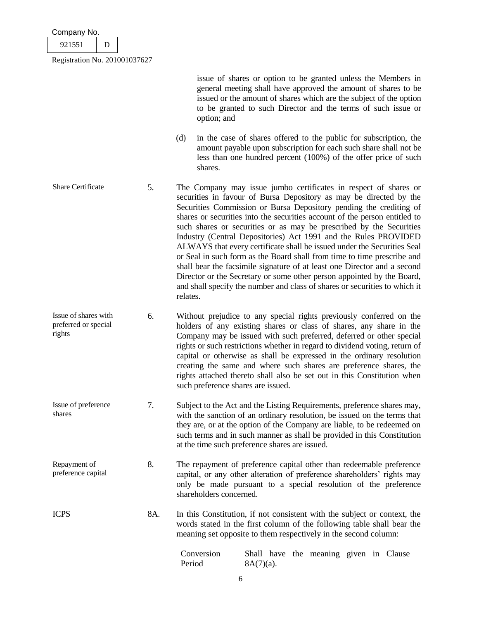|        | Company No. |  |  |  |  |  |  |
|--------|-------------|--|--|--|--|--|--|
| 921551 |             |  |  |  |  |  |  |

issue of shares or option to be granted unless the Members in general meeting shall have approved the amount of shares to be issued or the amount of shares which are the subject of the option to be granted to such Director and the terms of such issue or option; and (d) in the case of shares offered to the public for subscription, the amount payable upon subscription for each such share shall not be

less than one hundred percent (100%) of the offer price of such

Share Certificate 5. The Company may issue jumbo certificates in respect of shares or securities in favour of Bursa Depository as may be directed by the Securities Commission or Bursa Depository pending the crediting of shares or securities into the securities account of the person entitled to such shares or securities or as may be prescribed by the Securities Industry (Central Depositories) Act 1991 and the Rules PROVIDED ALWAYS that every certificate shall be issued under the Securities Seal or Seal in such form as the Board shall from time to time prescribe and shall bear the facsimile signature of at least one Director and a second Director or the Secretary or some other person appointed by the Board, and shall specify the number and class of shares or securities to which it relates.

shares.

- Issue of shares with preferred or special rights 6. Without prejudice to any special rights previously conferred on the holders of any existing shares or class of shares, any share in the Company may be issued with such preferred, deferred or other special rights or such restrictions whether in regard to dividend voting, return of capital or otherwise as shall be expressed in the ordinary resolution creating the same and where such shares are preference shares, the rights attached thereto shall also be set out in this Constitution when such preference shares are issued.
- Issue of preference shares 7. Subject to the Act and the Listing Requirements, preference shares may, with the sanction of an ordinary resolution, be issued on the terms that they are, or at the option of the Company are liable, to be redeemed on such terms and in such manner as shall be provided in this Constitution at the time such preference shares are issued.
- Repayment of preference capital 8. The repayment of preference capital other than redeemable preference capital, or any other alteration of preference shareholders' rights may only be made pursuant to a special resolution of the preference shareholders concerned.
- ICPS 8A. In this Constitution, if not consistent with the subject or context, the words stated in the first column of the following table shall bear the meaning set opposite to them respectively in the second column:

| Conversion |              |  | Shall have the meaning given in Clause |  |  |
|------------|--------------|--|----------------------------------------|--|--|
| Period     | $8A(7)(a)$ . |  |                                        |  |  |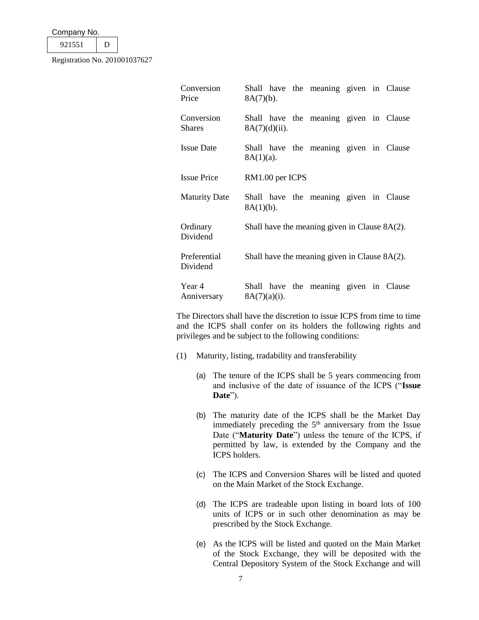| Company No. |  |  |
|-------------|--|--|
|-------------|--|--|

921551 D

Registration No. 201001037627

| Conversion<br>Price         | $8A(7)(b)$ .     |  | Shall have the meaning given in Clause           |  |  |
|-----------------------------|------------------|--|--------------------------------------------------|--|--|
| Conversion<br><b>Shares</b> | $8A(7)(d)(ii)$ . |  | Shall have the meaning given in Clause           |  |  |
| <b>Issue Date</b>           | $8A(1)(a)$ .     |  | Shall have the meaning given in Clause           |  |  |
| <b>Issue Price</b>          | RM1.00 per ICPS  |  |                                                  |  |  |
| <b>Maturity Date</b>        | $8A(1)(b)$ .     |  | Shall have the meaning given in Clause           |  |  |
| Ordinary<br>Dividend        |                  |  | Shall have the meaning given in Clause $8A(2)$ . |  |  |
| Preferential<br>Dividend    |                  |  | Shall have the meaning given in Clause $8A(2)$ . |  |  |
| Year 4<br>Anniversary       | $8A(7)(a)(i)$ .  |  | Shall have the meaning given in Clause           |  |  |

The Directors shall have the discretion to issue ICPS from time to time and the ICPS shall confer on its holders the following rights and privileges and be subject to the following conditions:

- (1) Maturity, listing, tradability and transferability
	- (a) The tenure of the ICPS shall be 5 years commencing from and inclusive of the date of issuance of the ICPS ("**Issue Date**").
	- (b) The maturity date of the ICPS shall be the Market Day immediately preceding the  $5<sup>th</sup>$  anniversary from the Issue Date ("**Maturity Date**") unless the tenure of the ICPS, if permitted by law, is extended by the Company and the ICPS holders.
	- (c) The ICPS and Conversion Shares will be listed and quoted on the Main Market of the Stock Exchange.
	- (d) The ICPS are tradeable upon listing in board lots of 100 units of ICPS or in such other denomination as may be prescribed by the Stock Exchange.
	- (e) As the ICPS will be listed and quoted on the Main Market of the Stock Exchange, they will be deposited with the Central Depository System of the Stock Exchange and will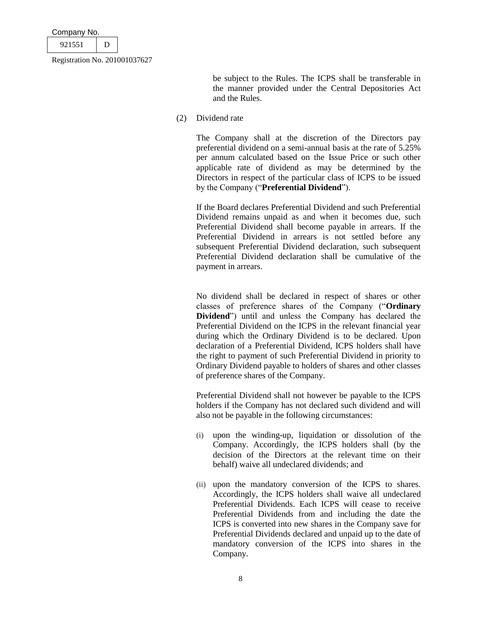| Company No.                   |  |  |  |
|-------------------------------|--|--|--|
| 921551                        |  |  |  |
| Registration No. 201001037627 |  |  |  |

be subject to the Rules. The ICPS shall be transferable in the manner provided under the Central Depositories Act and the Rules.

(2) Dividend rate

The Company shall at the discretion of the Directors pay preferential dividend on a semi-annual basis at the rate of 5.25% per annum calculated based on the Issue Price or such other applicable rate of dividend as may be determined by the Directors in respect of the particular class of ICPS to be issued by the Company ("**Preferential Dividend**").

If the Board declares Preferential Dividend and such Preferential Dividend remains unpaid as and when it becomes due, such Preferential Dividend shall become payable in arrears. If the Preferential Dividend in arrears is not settled before any subsequent Preferential Dividend declaration, such subsequent Preferential Dividend declaration shall be cumulative of the payment in arrears.

No dividend shall be declared in respect of shares or other classes of preference shares of the Company ("**Ordinary Dividend**") until and unless the Company has declared the Preferential Dividend on the ICPS in the relevant financial year during which the Ordinary Dividend is to be declared. Upon declaration of a Preferential Dividend, ICPS holders shall have the right to payment of such Preferential Dividend in priority to Ordinary Dividend payable to holders of shares and other classes of preference shares of the Company.

Preferential Dividend shall not however be payable to the ICPS holders if the Company has not declared such dividend and will also not be payable in the following circumstances:

- (i) upon the winding-up, liquidation or dissolution of the Company. Accordingly, the ICPS holders shall (by the decision of the Directors at the relevant time on their behalf) waive all undeclared dividends; and
- (ii) upon the mandatory conversion of the ICPS to shares. Accordingly, the ICPS holders shall waive all undeclared Preferential Dividends. Each ICPS will cease to receive Preferential Dividends from and including the date the ICPS is converted into new shares in the Company save for Preferential Dividends declared and unpaid up to the date of mandatory conversion of the ICPS into shares in the Company.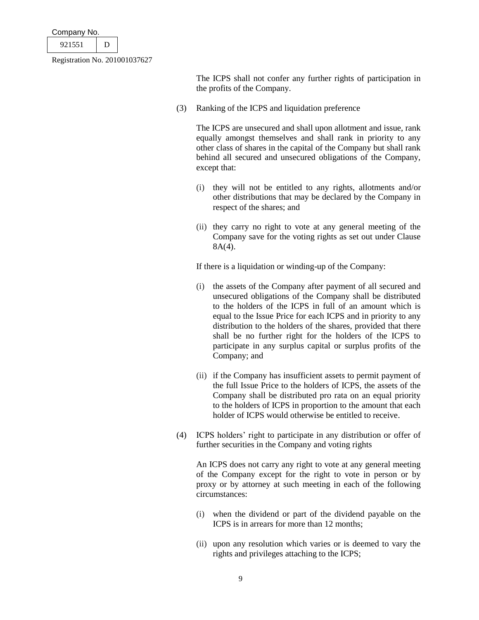| Company No. |        |
|-------------|--------|
| 921551      |        |
|             | 0.0102 |

The ICPS shall not confer any further rights of participation in the profits of the Company.

(3) Ranking of the ICPS and liquidation preference

The ICPS are unsecured and shall upon allotment and issue, rank equally amongst themselves and shall rank in priority to any other class of shares in the capital of the Company but shall rank behind all secured and unsecured obligations of the Company, except that:

- (i) they will not be entitled to any rights, allotments and/or other distributions that may be declared by the Company in respect of the shares; and
- (ii) they carry no right to vote at any general meeting of the Company save for the voting rights as set out under Clause 8A(4).

If there is a liquidation or winding-up of the Company:

- (i) the assets of the Company after payment of all secured and unsecured obligations of the Company shall be distributed to the holders of the ICPS in full of an amount which is equal to the Issue Price for each ICPS and in priority to any distribution to the holders of the shares, provided that there shall be no further right for the holders of the ICPS to participate in any surplus capital or surplus profits of the Company; and
- (ii) if the Company has insufficient assets to permit payment of the full Issue Price to the holders of ICPS, the assets of the Company shall be distributed pro rata on an equal priority to the holders of ICPS in proportion to the amount that each holder of ICPS would otherwise be entitled to receive.
- (4) ICPS holders' right to participate in any distribution or offer of further securities in the Company and voting rights

An ICPS does not carry any right to vote at any general meeting of the Company except for the right to vote in person or by proxy or by attorney at such meeting in each of the following circumstances:

- (i) when the dividend or part of the dividend payable on the ICPS is in arrears for more than 12 months;
- (ii) upon any resolution which varies or is deemed to vary the rights and privileges attaching to the ICPS;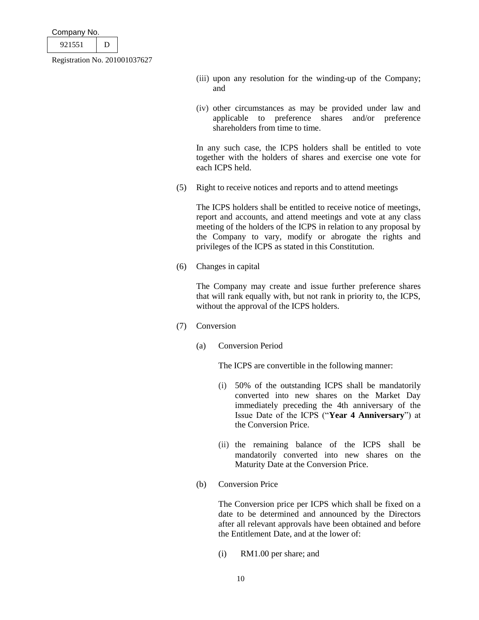| Company No. |  |
|-------------|--|
|             |  |

> (iii) upon any resolution for the winding-up of the Company; and

> (iv) other circumstances as may be provided under law and applicable to preference shares and/or preference shareholders from time to time.

> In any such case, the ICPS holders shall be entitled to vote together with the holders of shares and exercise one vote for each ICPS held.

(5) Right to receive notices and reports and to attend meetings

The ICPS holders shall be entitled to receive notice of meetings, report and accounts, and attend meetings and vote at any class meeting of the holders of the ICPS in relation to any proposal by the Company to vary, modify or abrogate the rights and privileges of the ICPS as stated in this Constitution.

(6) Changes in capital

The Company may create and issue further preference shares that will rank equally with, but not rank in priority to, the ICPS, without the approval of the ICPS holders.

- (7) Conversion
	- (a) Conversion Period

The ICPS are convertible in the following manner:

- (i) 50% of the outstanding ICPS shall be mandatorily converted into new shares on the Market Day immediately preceding the 4th anniversary of the Issue Date of the ICPS ("**Year 4 Anniversary**") at the Conversion Price.
- (ii) the remaining balance of the ICPS shall be mandatorily converted into new shares on the Maturity Date at the Conversion Price.
- (b) Conversion Price

The Conversion price per ICPS which shall be fixed on a date to be determined and announced by the Directors after all relevant approvals have been obtained and before the Entitlement Date, and at the lower of:

(i) RM1.00 per share; and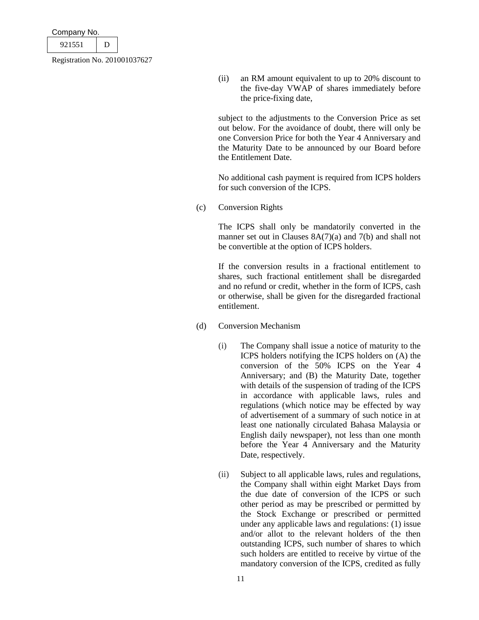| Company No. |  |
|-------------|--|
| 921551      |  |
|             |  |

(ii) an RM amount equivalent to up to 20% discount to the five-day VWAP of shares immediately before the price-fixing date,

subject to the adjustments to the Conversion Price as set out below. For the avoidance of doubt, there will only be one Conversion Price for both the Year 4 Anniversary and the Maturity Date to be announced by our Board before the Entitlement Date.

No additional cash payment is required from ICPS holders for such conversion of the ICPS.

(c) Conversion Rights

The ICPS shall only be mandatorily converted in the manner set out in Clauses  $8A(7)(a)$  and 7(b) and shall not be convertible at the option of ICPS holders.

If the conversion results in a fractional entitlement to shares, such fractional entitlement shall be disregarded and no refund or credit, whether in the form of ICPS, cash or otherwise, shall be given for the disregarded fractional entitlement.

- (d) Conversion Mechanism
	- (i) The Company shall issue a notice of maturity to the ICPS holders notifying the ICPS holders on (A) the conversion of the 50% ICPS on the Year 4 Anniversary; and (B) the Maturity Date, together with details of the suspension of trading of the ICPS in accordance with applicable laws, rules and regulations (which notice may be effected by way of advertisement of a summary of such notice in at least one nationally circulated Bahasa Malaysia or English daily newspaper), not less than one month before the Year 4 Anniversary and the Maturity Date, respectively.
	- (ii) Subject to all applicable laws, rules and regulations, the Company shall within eight Market Days from the due date of conversion of the ICPS or such other period as may be prescribed or permitted by the Stock Exchange or prescribed or permitted under any applicable laws and regulations: (1) issue and/or allot to the relevant holders of the then outstanding ICPS, such number of shares to which such holders are entitled to receive by virtue of the mandatory conversion of the ICPS, credited as fully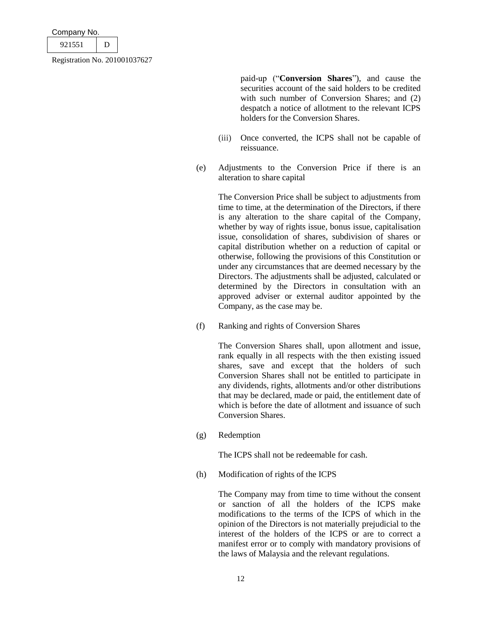| Company No.                   |  |  |  |
|-------------------------------|--|--|--|
| 921551                        |  |  |  |
| Registration No. 201001037627 |  |  |  |

paid-up ("**Conversion Shares**"), and cause the securities account of the said holders to be credited with such number of Conversion Shares; and (2) despatch a notice of allotment to the relevant ICPS holders for the Conversion Shares.

- (iii) Once converted, the ICPS shall not be capable of reissuance.
- (e) Adjustments to the Conversion Price if there is an alteration to share capital

The Conversion Price shall be subject to adjustments from time to time, at the determination of the Directors, if there is any alteration to the share capital of the Company, whether by way of rights issue, bonus issue, capitalisation issue, consolidation of shares, subdivision of shares or capital distribution whether on a reduction of capital or otherwise, following the provisions of this Constitution or under any circumstances that are deemed necessary by the Directors. The adjustments shall be adjusted, calculated or determined by the Directors in consultation with an approved adviser or external auditor appointed by the Company, as the case may be.

(f) Ranking and rights of Conversion Shares

The Conversion Shares shall, upon allotment and issue, rank equally in all respects with the then existing issued shares, save and except that the holders of such Conversion Shares shall not be entitled to participate in any dividends, rights, allotments and/or other distributions that may be declared, made or paid, the entitlement date of which is before the date of allotment and issuance of such Conversion Shares.

(g) Redemption

The ICPS shall not be redeemable for cash.

(h) Modification of rights of the ICPS

The Company may from time to time without the consent or sanction of all the holders of the ICPS make modifications to the terms of the ICPS of which in the opinion of the Directors is not materially prejudicial to the interest of the holders of the ICPS or are to correct a manifest error or to comply with mandatory provisions of the laws of Malaysia and the relevant regulations.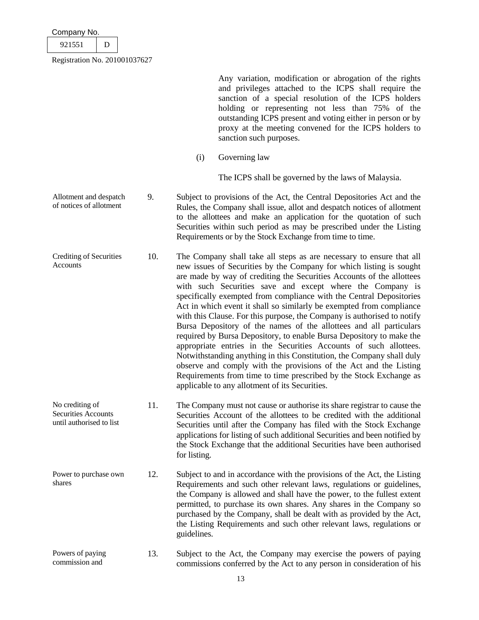| Company No. |  |
|-------------|--|
| 921551      |  |

No crediting of Securities Accounts

Registration No. 201001037627

Any variation, modification or abrogation of the rights and privileges attached to the ICPS shall require the sanction of a special resolution of the ICPS holders holding or representing not less than 75% of the outstanding ICPS present and voting either in person or by proxy at the meeting convened for the ICPS holders to sanction such purposes.

(i) Governing law

The ICPS shall be governed by the laws of Malaysia.

- Allotment and despatch of notices of allotment 9. Subject to provisions of the Act, the Central Depositories Act and the Rules, the Company shall issue, allot and despatch notices of allotment to the allottees and make an application for the quotation of such Securities within such period as may be prescribed under the Listing Requirements or by the Stock Exchange from time to time.
- Crediting of Securities Accounts 10. The Company shall take all steps as are necessary to ensure that all new issues of Securities by the Company for which listing is sought are made by way of crediting the Securities Accounts of the allottees with such Securities save and except where the Company is specifically exempted from compliance with the Central Depositories Act in which event it shall so similarly be exempted from compliance with this Clause. For this purpose, the Company is authorised to notify Bursa Depository of the names of the allottees and all particulars required by Bursa Depository, to enable Bursa Depository to make the appropriate entries in the Securities Accounts of such allottees. Notwithstanding anything in this Constitution, the Company shall duly observe and comply with the provisions of the Act and the Listing Requirements from time to time prescribed by the Stock Exchange as applicable to any allotment of its Securities.
- until authorised to list 11. The Company must not cause or authorise its share registrar to cause the Securities Account of the allottees to be credited with the additional Securities until after the Company has filed with the Stock Exchange applications for listing of such additional Securities and been notified by the Stock Exchange that the additional Securities have been authorised for listing.
- Power to purchase own shares 12. Subject to and in accordance with the provisions of the Act, the Listing Requirements and such other relevant laws, regulations or guidelines, the Company is allowed and shall have the power, to the fullest extent permitted, to purchase its own shares. Any shares in the Company so purchased by the Company, shall be dealt with as provided by the Act, the Listing Requirements and such other relevant laws, regulations or guidelines.
- Powers of paying commission and 13. Subject to the Act, the Company may exercise the powers of paying commissions conferred by the Act to any person in consideration of his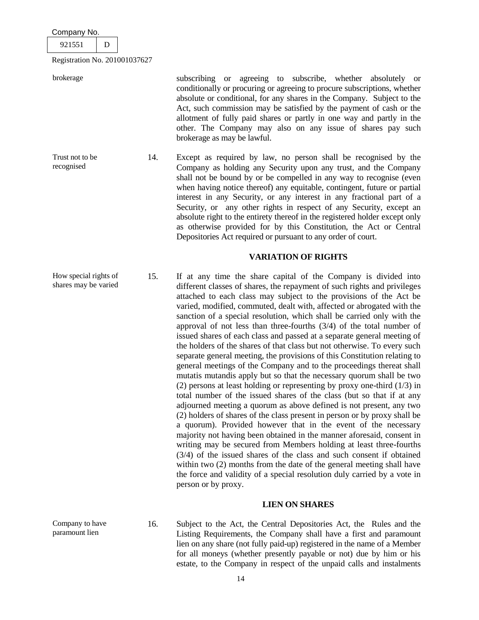| Company No.                   |  |  |  |  |
|-------------------------------|--|--|--|--|
| 921551                        |  |  |  |  |
| Registration No. 201001037627 |  |  |  |  |

Company to have paramount lien

brokerage subscribing or agreeing to subscribe, whether absolutely or conditionally or procuring or agreeing to procure subscriptions, whether absolute or conditional, for any shares in the Company. Subject to the Act, such commission may be satisfied by the payment of cash or the allotment of fully paid shares or partly in one way and partly in the other. The Company may also on any issue of shares pay such brokerage as may be lawful.

Trust not to be recognised 14. Except as required by law, no person shall be recognised by the Company as holding any Security upon any trust, and the Company shall not be bound by or be compelled in any way to recognise (even when having notice thereof) any equitable, contingent, future or partial interest in any Security, or any interest in any fractional part of a Security, or any other rights in respect of any Security, except an absolute right to the entirety thereof in the registered holder except only as otherwise provided for by this Constitution, the Act or Central Depositories Act required or pursuant to any order of court.

### **VARIATION OF RIGHTS**

How special rights of shares may be varied 15. If at any time the share capital of the Company is divided into different classes of shares, the repayment of such rights and privileges attached to each class may subject to the provisions of the Act be varied, modified, commuted, dealt with, affected or abrogated with the sanction of a special resolution, which shall be carried only with the approval of not less than three-fourths (3/4) of the total number of issued shares of each class and passed at a separate general meeting of the holders of the shares of that class but not otherwise. To every such separate general meeting, the provisions of this Constitution relating to general meetings of the Company and to the proceedings thereat shall mutatis mutandis apply but so that the necessary quorum shall be two (2) persons at least holding or representing by proxy one-third (1/3) in total number of the issued shares of the class (but so that if at any adjourned meeting a quorum as above defined is not present, any two (2) holders of shares of the class present in person or by proxy shall be a quorum). Provided however that in the event of the necessary majority not having been obtained in the manner aforesaid, consent in writing may be secured from Members holding at least three-fourths (3/4) of the issued shares of the class and such consent if obtained within two (2) months from the date of the general meeting shall have the force and validity of a special resolution duly carried by a vote in person or by proxy.

# **LIEN ON SHARES**

16. Subject to the Act, the Central Depositories Act, the Rules and the Listing Requirements, the Company shall have a first and paramount lien on any share (not fully paid-up) registered in the name of a Member for all moneys (whether presently payable or not) due by him or his estate, to the Company in respect of the unpaid calls and instalments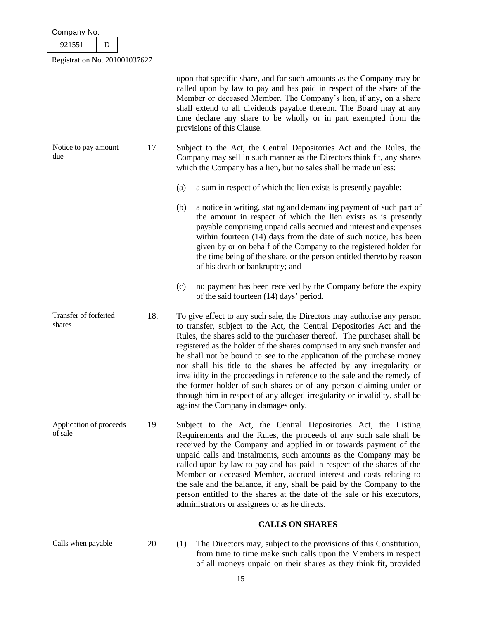| Company No.                        |   |     |                                                                                                                                                                                                                                                                                                                                                                                                                                                                                                                                                                                                                                                                                                                                    |
|------------------------------------|---|-----|------------------------------------------------------------------------------------------------------------------------------------------------------------------------------------------------------------------------------------------------------------------------------------------------------------------------------------------------------------------------------------------------------------------------------------------------------------------------------------------------------------------------------------------------------------------------------------------------------------------------------------------------------------------------------------------------------------------------------------|
| 921551                             | D |     |                                                                                                                                                                                                                                                                                                                                                                                                                                                                                                                                                                                                                                                                                                                                    |
| Registration No. 201001037627      |   |     |                                                                                                                                                                                                                                                                                                                                                                                                                                                                                                                                                                                                                                                                                                                                    |
|                                    |   |     | upon that specific share, and for such amounts as the Company may be<br>called upon by law to pay and has paid in respect of the share of the<br>Member or deceased Member. The Company's lien, if any, on a share<br>shall extend to all dividends payable thereon. The Board may at any<br>time declare any share to be wholly or in part exempted from the<br>provisions of this Clause.                                                                                                                                                                                                                                                                                                                                        |
| Notice to pay amount<br>due        |   | 17. | Subject to the Act, the Central Depositories Act and the Rules, the<br>Company may sell in such manner as the Directors think fit, any shares<br>which the Company has a lien, but no sales shall be made unless:                                                                                                                                                                                                                                                                                                                                                                                                                                                                                                                  |
|                                    |   |     | (a)<br>a sum in respect of which the lien exists is presently payable;                                                                                                                                                                                                                                                                                                                                                                                                                                                                                                                                                                                                                                                             |
|                                    |   |     | a notice in writing, stating and demanding payment of such part of<br>(b)<br>the amount in respect of which the lien exists as is presently<br>payable comprising unpaid calls accrued and interest and expenses<br>within fourteen (14) days from the date of such notice, has been<br>given by or on behalf of the Company to the registered holder for<br>the time being of the share, or the person entitled thereto by reason<br>of his death or bankruptcy; and                                                                                                                                                                                                                                                              |
|                                    |   |     | no payment has been received by the Company before the expiry<br>(c)<br>of the said fourteen (14) days' period.                                                                                                                                                                                                                                                                                                                                                                                                                                                                                                                                                                                                                    |
| Transfer of forfeited<br>shares    |   | 18. | To give effect to any such sale, the Directors may authorise any person<br>to transfer, subject to the Act, the Central Depositories Act and the<br>Rules, the shares sold to the purchaser thereof. The purchaser shall be<br>registered as the holder of the shares comprised in any such transfer and<br>he shall not be bound to see to the application of the purchase money<br>nor shall his title to the shares be affected by any irregularity or<br>invalidity in the proceedings in reference to the sale and the remedy of<br>the former holder of such shares or of any person claiming under or<br>through him in respect of any alleged irregularity or invalidity, shall be<br>against the Company in damages only. |
| Application of proceeds<br>of sale |   | 19. | Subject to the Act, the Central Depositories Act, the Listing<br>Requirements and the Rules, the proceeds of any such sale shall be<br>received by the Company and applied in or towards payment of the<br>unpaid calls and instalments, such amounts as the Company may be<br>called upon by law to pay and has paid in respect of the shares of the<br>Member or deceased Member, accrued interest and costs relating to<br>the sale and the balance, if any, shall be paid by the Company to the<br>person entitled to the shares at the date of the sale or his executors,<br>administrators or assignees or as he directs.                                                                                                    |
|                                    |   |     | <b>CALLS ON SHARES</b>                                                                                                                                                                                                                                                                                                                                                                                                                                                                                                                                                                                                                                                                                                             |

Calls when payable 20. (1) The Directors may, subject to the provisions of this Constitution, from time to time make such calls upon the Members in respect of all moneys unpaid on their shares as they think fit, provided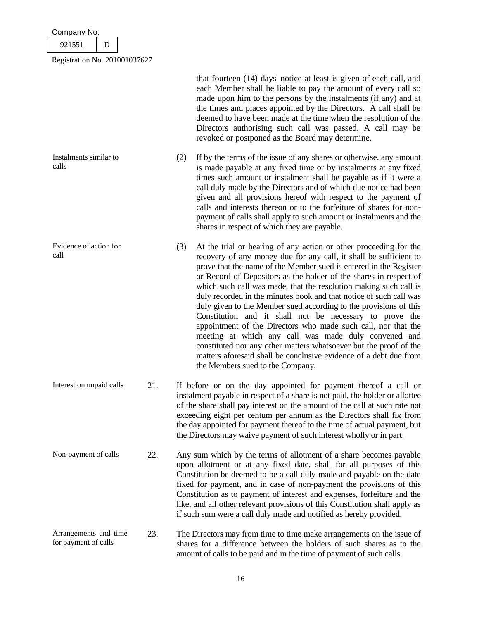| Company No.                                   |   |     |     |                                                                                                                                                                                                                                                                                                                                                                                                                                                                                                                                                                                                                                                                                                                                                                                                                                                                    |
|-----------------------------------------------|---|-----|-----|--------------------------------------------------------------------------------------------------------------------------------------------------------------------------------------------------------------------------------------------------------------------------------------------------------------------------------------------------------------------------------------------------------------------------------------------------------------------------------------------------------------------------------------------------------------------------------------------------------------------------------------------------------------------------------------------------------------------------------------------------------------------------------------------------------------------------------------------------------------------|
| 921551                                        | D |     |     |                                                                                                                                                                                                                                                                                                                                                                                                                                                                                                                                                                                                                                                                                                                                                                                                                                                                    |
| Registration No. 201001037627                 |   |     |     |                                                                                                                                                                                                                                                                                                                                                                                                                                                                                                                                                                                                                                                                                                                                                                                                                                                                    |
|                                               |   |     |     | that fourteen (14) days' notice at least is given of each call, and<br>each Member shall be liable to pay the amount of every call so<br>made upon him to the persons by the instalments (if any) and at<br>the times and places appointed by the Directors. A call shall be<br>deemed to have been made at the time when the resolution of the<br>Directors authorising such call was passed. A call may be<br>revoked or postponed as the Board may determine.                                                                                                                                                                                                                                                                                                                                                                                                   |
| Instalments similar to<br>calls               |   |     | (2) | If by the terms of the issue of any shares or otherwise, any amount<br>is made payable at any fixed time or by instalments at any fixed<br>times such amount or instalment shall be payable as if it were a<br>call duly made by the Directors and of which due notice had been<br>given and all provisions hereof with respect to the payment of<br>calls and interests thereon or to the forfeiture of shares for non-<br>payment of calls shall apply to such amount or instalments and the<br>shares in respect of which they are payable.                                                                                                                                                                                                                                                                                                                     |
| Evidence of action for<br>call                |   |     | (3) | At the trial or hearing of any action or other proceeding for the<br>recovery of any money due for any call, it shall be sufficient to<br>prove that the name of the Member sued is entered in the Register<br>or Record of Depositors as the holder of the shares in respect of<br>which such call was made, that the resolution making such call is<br>duly recorded in the minutes book and that notice of such call was<br>duly given to the Member sued according to the provisions of this<br>Constitution and it shall not be necessary to prove the<br>appointment of the Directors who made such call, nor that the<br>meeting at which any call was made duly convened and<br>constituted nor any other matters whatsoever but the proof of the<br>matters aforesaid shall be conclusive evidence of a debt due from<br>the Members sued to the Company. |
| Interest on unpaid calls                      |   | 21. |     | If before or on the day appointed for payment thereof a call or<br>instalment payable in respect of a share is not paid, the holder or allottee<br>of the share shall pay interest on the amount of the call at such rate not<br>exceeding eight per centum per annum as the Directors shall fix from<br>the day appointed for payment thereof to the time of actual payment, but<br>the Directors may waive payment of such interest wholly or in part.                                                                                                                                                                                                                                                                                                                                                                                                           |
| Non-payment of calls                          |   | 22. |     | Any sum which by the terms of allotment of a share becomes payable<br>upon allotment or at any fixed date, shall for all purposes of this<br>Constitution be deemed to be a call duly made and payable on the date<br>fixed for payment, and in case of non-payment the provisions of this<br>Constitution as to payment of interest and expenses, forfeiture and the<br>like, and all other relevant provisions of this Constitution shall apply as<br>if such sum were a call duly made and notified as hereby provided.                                                                                                                                                                                                                                                                                                                                         |
| Arrangements and time<br>for payment of calls |   | 23. |     | The Directors may from time to time make arrangements on the issue of<br>shares for a difference between the holders of such shares as to the<br>amount of calls to be paid and in the time of payment of such calls.                                                                                                                                                                                                                                                                                                                                                                                                                                                                                                                                                                                                                                              |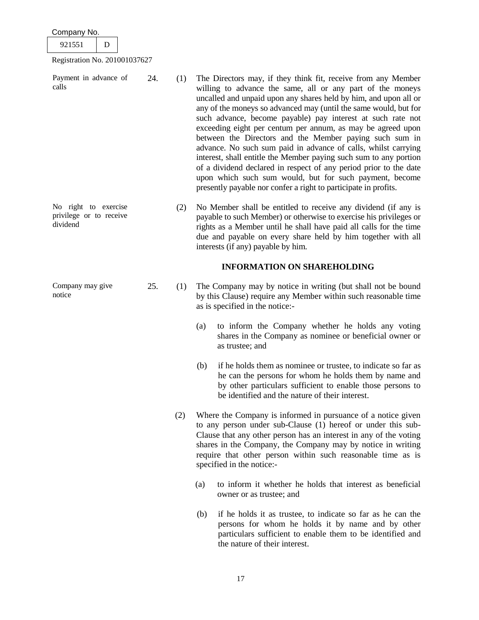921551 D

No right to exercise privilege or to receive

Company may give

dividend

notice

Registration No. 201001037627

Payment in advance of calls 24. (1) The Directors may, if they think fit, receive from any Member

willing to advance the same, all or any part of the moneys uncalled and unpaid upon any shares held by him, and upon all or any of the moneys so advanced may (until the same would, but for such advance, become payable) pay interest at such rate not exceeding eight per centum per annum, as may be agreed upon between the Directors and the Member paying such sum in advance. No such sum paid in advance of calls, whilst carrying interest, shall entitle the Member paying such sum to any portion of a dividend declared in respect of any period prior to the date upon which such sum would, but for such payment, become presently payable nor confer a right to participate in profits.

(2) No Member shall be entitled to receive any dividend (if any is payable to such Member) or otherwise to exercise his privileges or rights as a Member until he shall have paid all calls for the time due and payable on every share held by him together with all interests (if any) payable by him.

# **INFORMATION ON SHAREHOLDING**

- 25. (1) The Company may by notice in writing (but shall not be bound by this Clause) require any Member within such reasonable time as is specified in the notice:-
	- (a) to inform the Company whether he holds any voting shares in the Company as nominee or beneficial owner or as trustee; and
	- (b) if he holds them as nominee or trustee, to indicate so far as he can the persons for whom he holds them by name and by other particulars sufficient to enable those persons to be identified and the nature of their interest.
	- (2) Where the Company is informed in pursuance of a notice given to any person under sub-Clause (1) hereof or under this sub-Clause that any other person has an interest in any of the voting shares in the Company, the Company may by notice in writing require that other person within such reasonable time as is specified in the notice:-
		- (a) to inform it whether he holds that interest as beneficial owner or as trustee; and
		- (b) if he holds it as trustee, to indicate so far as he can the persons for whom he holds it by name and by other particulars sufficient to enable them to be identified and the nature of their interest.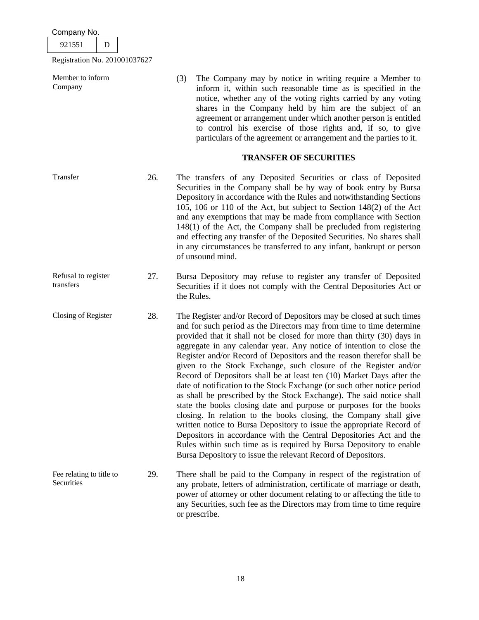921551 D

Registration No. 201001037627

Member to inform Company

(3) The Company may by notice in writing require a Member to inform it, within such reasonable time as is specified in the notice, whether any of the voting rights carried by any voting shares in the Company held by him are the subject of an agreement or arrangement under which another person is entitled to control his exercise of those rights and, if so, to give particulars of the agreement or arrangement and the parties to it.

# **TRANSFER OF SECURITIES**

- Transfer 26. The transfers of any Deposited Securities or class of Deposited Securities in the Company shall be by way of book entry by Bursa Depository in accordance with the Rules and notwithstanding Sections 105, 106 or 110 of the Act, but subject to Section 148(2) of the Act and any exemptions that may be made from compliance with Section 148(1) of the Act, the Company shall be precluded from registering and effecting any transfer of the Deposited Securities. No shares shall in any circumstances be transferred to any infant, bankrupt or person of unsound mind.
- Refusal to register transfers 27. Bursa Depository may refuse to register any transfer of Deposited Securities if it does not comply with the Central Depositories Act or the Rules.
- Closing of Register 28. The Register and/or Record of Depositors may be closed at such times and for such period as the Directors may from time to time determine provided that it shall not be closed for more than thirty (30) days in aggregate in any calendar year. Any notice of intention to close the Register and/or Record of Depositors and the reason therefor shall be given to the Stock Exchange, such closure of the Register and/or Record of Depositors shall be at least ten (10) Market Days after the date of notification to the Stock Exchange (or such other notice period as shall be prescribed by the Stock Exchange). The said notice shall state the books closing date and purpose or purposes for the books closing. In relation to the books closing, the Company shall give written notice to Bursa Depository to issue the appropriate Record of Depositors in accordance with the Central Depositories Act and the Rules within such time as is required by Bursa Depository to enable Bursa Depository to issue the relevant Record of Depositors.
- Fee relating to title to **Securities** 29. There shall be paid to the Company in respect of the registration of any probate, letters of administration, certificate of marriage or death, power of attorney or other document relating to or affecting the title to any Securities, such fee as the Directors may from time to time require or prescribe.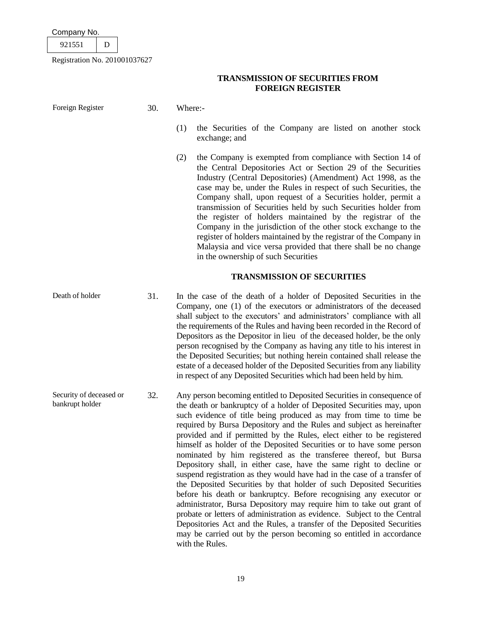| רי<br>۰Z |  |
|----------|--|
|          |  |

Registration No. 201001037627

Foreign Register 30. Where:-

# **TRANSMISSION OF SECURITIES FROM FOREIGN REGISTER**

(1) the Securities of the Company are listed on another stock

|                                            |     | (2)<br>the Company is exempted from compliance with Section 14 of<br>the Central Depositories Act or Section 29 of the Securities<br>Industry (Central Depositories) (Amendment) Act 1998, as the<br>case may be, under the Rules in respect of such Securities, the<br>Company shall, upon request of a Securities holder, permit a<br>transmission of Securities held by such Securities holder from<br>the register of holders maintained by the registrar of the<br>Company in the jurisdiction of the other stock exchange to the<br>register of holders maintained by the registrar of the Company in<br>Malaysia and vice versa provided that there shall be no change<br>in the ownership of such Securities                                                                                                                                                                                                                                                                                                                                                                                                                        |
|--------------------------------------------|-----|---------------------------------------------------------------------------------------------------------------------------------------------------------------------------------------------------------------------------------------------------------------------------------------------------------------------------------------------------------------------------------------------------------------------------------------------------------------------------------------------------------------------------------------------------------------------------------------------------------------------------------------------------------------------------------------------------------------------------------------------------------------------------------------------------------------------------------------------------------------------------------------------------------------------------------------------------------------------------------------------------------------------------------------------------------------------------------------------------------------------------------------------|
|                                            |     | <b>TRANSMISSION OF SECURITIES</b>                                                                                                                                                                                                                                                                                                                                                                                                                                                                                                                                                                                                                                                                                                                                                                                                                                                                                                                                                                                                                                                                                                           |
| Death of holder                            | 31. | In the case of the death of a holder of Deposited Securities in the<br>Company, one (1) of the executors or administrators of the deceased<br>shall subject to the executors' and administrators' compliance with all<br>the requirements of the Rules and having been recorded in the Record of<br>Depositors as the Depositor in lieu of the deceased holder, be the only<br>person recognised by the Company as having any title to his interest in<br>the Deposited Securities; but nothing herein contained shall release the<br>estate of a deceased holder of the Deposited Securities from any liability<br>in respect of any Deposited Securities which had been held by him.                                                                                                                                                                                                                                                                                                                                                                                                                                                      |
| Security of deceased or<br>bankrupt holder | 32. | Any person becoming entitled to Deposited Securities in consequence of<br>the death or bankruptcy of a holder of Deposited Securities may, upon<br>such evidence of title being produced as may from time to time be<br>required by Bursa Depository and the Rules and subject as hereinafter<br>provided and if permitted by the Rules, elect either to be registered<br>himself as holder of the Deposited Securities or to have some person<br>nominated by him registered as the transferee thereof, but Bursa<br>Depository shall, in either case, have the same right to decline or<br>suspend registration as they would have had in the case of a transfer of<br>the Deposited Securities by that holder of such Deposited Securities<br>before his death or bankruptcy. Before recognising any executor or<br>administrator, Bursa Depository may require him to take out grant of<br>probate or letters of administration as evidence. Subject to the Central<br>Depositories Act and the Rules, a transfer of the Deposited Securities<br>may be carried out by the person becoming so entitled in accordance<br>with the Rules. |

exchange; and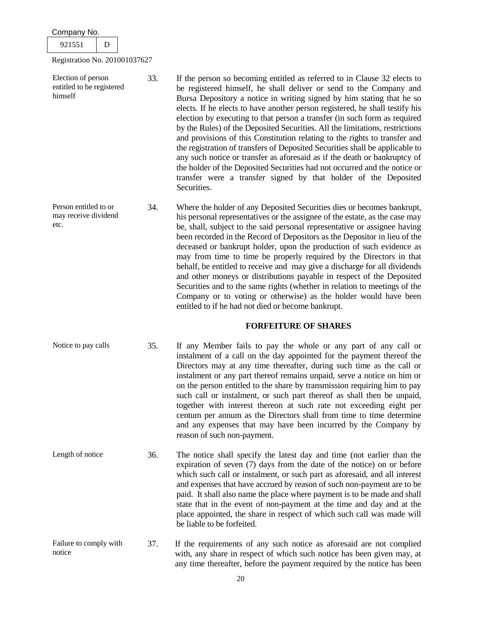| Company No.<br>921551<br>D                                                                  |     |                                                                                                                                                                                                                                                                                                                                                                                                                                                                                                                                                                                                                                                                                                                                                                                                                                                                                |
|---------------------------------------------------------------------------------------------|-----|--------------------------------------------------------------------------------------------------------------------------------------------------------------------------------------------------------------------------------------------------------------------------------------------------------------------------------------------------------------------------------------------------------------------------------------------------------------------------------------------------------------------------------------------------------------------------------------------------------------------------------------------------------------------------------------------------------------------------------------------------------------------------------------------------------------------------------------------------------------------------------|
| Registration No. 201001037627<br>Election of person<br>entitled to be registered<br>himself | 33. | If the person so becoming entitled as referred to in Clause 32 elects to<br>be registered himself, he shall deliver or send to the Company and<br>Bursa Depository a notice in writing signed by him stating that he so<br>elects. If he elects to have another person registered, he shall testify his<br>election by executing to that person a transfer (in such form as required<br>by the Rules) of the Deposited Securities. All the limitations, restrictions<br>and provisions of this Constitution relating to the rights to transfer and<br>the registration of transfers of Deposited Securities shall be applicable to<br>any such notice or transfer as aforesaid as if the death or bankruptcy of<br>the holder of the Deposited Securities had not occurred and the notice or<br>transfer were a transfer signed by that holder of the Deposited<br>Securities. |
| Person entitled to or<br>may receive dividend<br>etc.                                       | 34. | Where the holder of any Deposited Securities dies or becomes bankrupt,<br>his personal representatives or the assignee of the estate, as the case may<br>be, shall, subject to the said personal representative or assignee having<br>been recorded in the Record of Depositors as the Depositor in lieu of the<br>deceased or bankrupt holder, upon the production of such evidence as<br>may from time to time be properly required by the Directors in that<br>behalf, be entitled to receive and may give a discharge for all dividends<br>and other moneys or distributions payable in respect of the Deposited<br>Securities and to the same rights (whether in relation to meetings of the<br>Company or to voting or otherwise) as the holder would have been<br>entitled to if he had not died or become bankrupt.                                                    |
|                                                                                             |     | <b>FORFEITURE OF SHARES</b>                                                                                                                                                                                                                                                                                                                                                                                                                                                                                                                                                                                                                                                                                                                                                                                                                                                    |
| Notice to pay calls                                                                         | 35. | If any Member fails to pay the whole or any part of any call or<br>instalment of a call on the day appointed for the payment thereof the<br>Directors may at any time thereafter, during such time as the call or<br>instalment or any part thereof remains unpaid, serve a notice on him or<br>on the person entitled to the share by transmission requiring him to pay<br>such call or instalment, or such part thereof as shall then be unpaid,<br>together with interest thereon at such rate not exceeding eight per<br>centum per annum as the Directors shall from time to time determine<br>and any expenses that may have been incurred by the Company by<br>reason of such non-payment.                                                                                                                                                                              |
| Length of notice                                                                            | 36. | The notice shall specify the latest day and time (not earlier than the<br>expiration of seven (7) days from the date of the notice) on or before<br>which such call or instalment, or such part as aforesaid, and all interest<br>and expenses that have accrued by reason of such non-payment are to be<br>paid. It shall also name the place where payment is to be made and shall<br>state that in the event of non-payment at the time and day and at the<br>place appointed, the share in respect of which such call was made will<br>be liable to be forfeited.                                                                                                                                                                                                                                                                                                          |
| Failure to comply with<br>notice                                                            | 37. | If the requirements of any such notice as aforesaid are not complied<br>with, any share in respect of which such notice has been given may, at                                                                                                                                                                                                                                                                                                                                                                                                                                                                                                                                                                                                                                                                                                                                 |

any time thereafter, before the payment required by the notice has been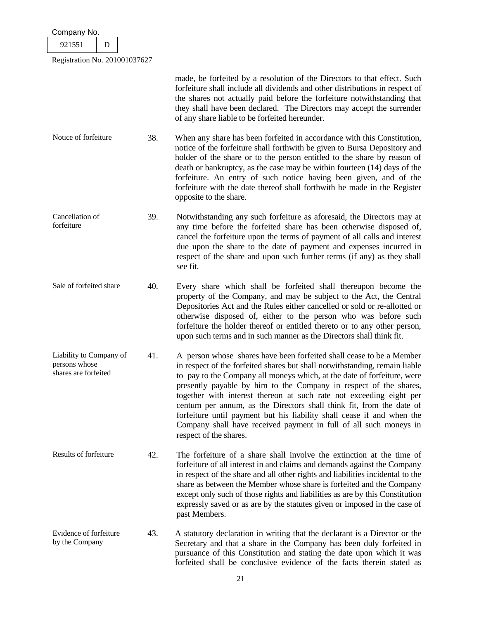| Company No.                                                      |     |                                                                                                                                                                                                                                                                                                                                                                                                                                                                                                                                                                                                                             |  |  |
|------------------------------------------------------------------|-----|-----------------------------------------------------------------------------------------------------------------------------------------------------------------------------------------------------------------------------------------------------------------------------------------------------------------------------------------------------------------------------------------------------------------------------------------------------------------------------------------------------------------------------------------------------------------------------------------------------------------------------|--|--|
| 921551<br>D                                                      |     |                                                                                                                                                                                                                                                                                                                                                                                                                                                                                                                                                                                                                             |  |  |
| Registration No. 201001037627                                    |     |                                                                                                                                                                                                                                                                                                                                                                                                                                                                                                                                                                                                                             |  |  |
|                                                                  |     | made, be forfeited by a resolution of the Directors to that effect. Such<br>forfeiture shall include all dividends and other distributions in respect of<br>the shares not actually paid before the forfeiture notwithstanding that<br>they shall have been declared. The Directors may accept the surrender<br>of any share liable to be forfeited hereunder.                                                                                                                                                                                                                                                              |  |  |
| Notice of forfeiture                                             | 38. | When any share has been forfeited in accordance with this Constitution,<br>notice of the forfeiture shall forthwith be given to Bursa Depository and<br>holder of the share or to the person entitled to the share by reason of<br>death or bankruptcy, as the case may be within fourteen (14) days of the<br>forfeiture. An entry of such notice having been given, and of the<br>forfeiture with the date thereof shall forthwith be made in the Register<br>opposite to the share.                                                                                                                                      |  |  |
| Cancellation of<br>forfeiture                                    | 39. | Notwithstanding any such forfeiture as aforesaid, the Directors may at<br>any time before the forfeited share has been otherwise disposed of,<br>cancel the forfeiture upon the terms of payment of all calls and interest<br>due upon the share to the date of payment and expenses incurred in<br>respect of the share and upon such further terms (if any) as they shall<br>see fit.                                                                                                                                                                                                                                     |  |  |
| Sale of forfeited share                                          | 40. | Every share which shall be forfeited shall thereupon become the<br>property of the Company, and may be subject to the Act, the Central<br>Depositories Act and the Rules either cancelled or sold or re-allotted or<br>otherwise disposed of, either to the person who was before such<br>forfeiture the holder thereof or entitled thereto or to any other person,<br>upon such terms and in such manner as the Directors shall think fit.                                                                                                                                                                                 |  |  |
| Liability to Company of<br>persons whose<br>shares are forfeited | 41. | A person whose shares have been forfeited shall cease to be a Member<br>in respect of the forfeited shares but shall notwithstanding, remain liable<br>to pay to the Company all moneys which, at the date of forfeiture, were<br>presently payable by him to the Company in respect of the shares,<br>together with interest thereon at such rate not exceeding eight per<br>centum per annum, as the Directors shall think fit, from the date of<br>forfeiture until payment but his liability shall cease if and when the<br>Company shall have received payment in full of all such moneys in<br>respect of the shares. |  |  |
| Results of forfeiture                                            | 42. | The forfeiture of a share shall involve the extinction at the time of<br>forfeiture of all interest in and claims and demands against the Company<br>in respect of the share and all other rights and liabilities incidental to the<br>share as between the Member whose share is forfeited and the Company<br>except only such of those rights and liabilities as are by this Constitution<br>expressly saved or as are by the statutes given or imposed in the case of<br>past Members.                                                                                                                                   |  |  |
| Evidence of forfeiture<br>by the Company                         | 43. | A statutory declaration in writing that the declarant is a Director or the<br>Secretary and that a share in the Company has been duly forfeited in<br>pursuance of this Constitution and stating the date upon which it was<br>forfeited shall be conclusive evidence of the facts therein stated as                                                                                                                                                                                                                                                                                                                        |  |  |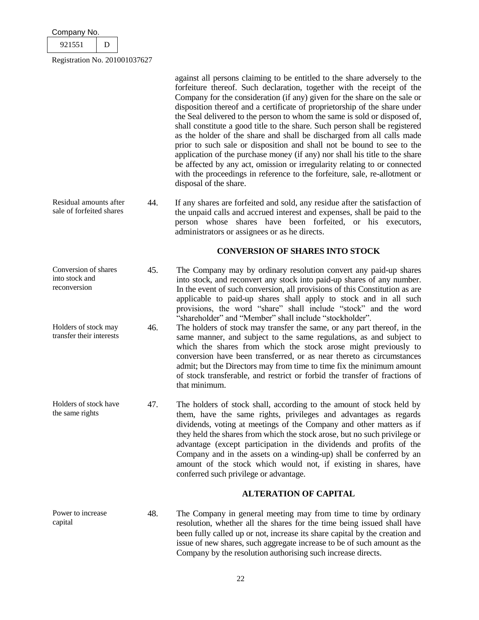| Company No.                   |  |  |  |  |
|-------------------------------|--|--|--|--|
| 921551                        |  |  |  |  |
| Registration No. 201001037627 |  |  |  |  |

against all persons claiming to be entitled to the share adversely to the forfeiture thereof. Such declaration, together with the receipt of the Company for the consideration (if any) given for the share on the sale or disposition thereof and a certificate of proprietorship of the share under the Seal delivered to the person to whom the same is sold or disposed of, shall constitute a good title to the share. Such person shall be registered as the holder of the share and shall be discharged from all calls made prior to such sale or disposition and shall not be bound to see to the application of the purchase money (if any) nor shall his title to the share be affected by any act, omission or irregularity relating to or connected with the proceedings in reference to the forfeiture, sale, re-allotment or disposal of the share.

Residual amounts after sale of forfeited shares 44. If any shares are forfeited and sold, any residue after the satisfaction of the unpaid calls and accrued interest and expenses, shall be paid to the person whose shares have been forfeited, or his executors, administrators or assignees or as he directs.

# **CONVERSION OF SHARES INTO STOCK**

- Conversion of shares into stock and reconversion 45. The Company may by ordinary resolution convert any paid-up shares into stock, and reconvert any stock into paid-up shares of any number. In the event of such conversion, all provisions of this Constitution as are applicable to paid-up shares shall apply to stock and in all such provisions, the word "share" shall include "stock" and the word "shareholder" and "Member" shall include "stockholder".
- Holders of stock may transfer their interests 46. The holders of stock may transfer the same, or any part thereof, in the same manner, and subject to the same regulations, as and subject to which the shares from which the stock arose might previously to conversion have been transferred, or as near thereto as circumstances admit; but the Directors may from time to time fix the minimum amount of stock transferable, and restrict or forbid the transfer of fractions of that minimum.
- Holders of stock have the same rights 47. The holders of stock shall, according to the amount of stock held by them, have the same rights, privileges and advantages as regards dividends, voting at meetings of the Company and other matters as if they held the shares from which the stock arose, but no such privilege or advantage (except participation in the dividends and profits of the Company and in the assets on a winding-up) shall be conferred by an amount of the stock which would not, if existing in shares, have conferred such privilege or advantage.

# **ALTERATION OF CAPITAL**

Power to increase capital 48. The Company in general meeting may from time to time by ordinary resolution, whether all the shares for the time being issued shall have been fully called up or not, increase its share capital by the creation and issue of new shares, such aggregate increase to be of such amount as the Company by the resolution authorising such increase directs.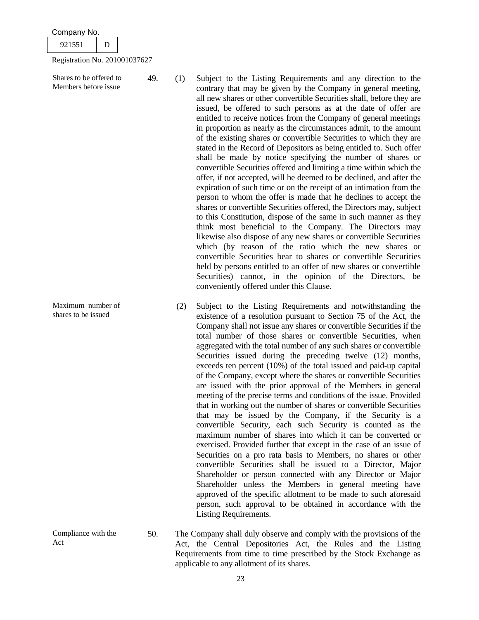| Company No. |
|-------------|
|-------------|

Shares to be offered to Members before issue

Maximum number of shares to be issued

Compliance with the

Act

49. (1) Subject to the Listing Requirements and any direction to the contrary that may be given by the Company in general meeting, all new shares or other convertible Securities shall, before they are issued, be offered to such persons as at the date of offer are entitled to receive notices from the Company of general meetings in proportion as nearly as the circumstances admit, to the amount of the existing shares or convertible Securities to which they are stated in the Record of Depositors as being entitled to. Such offer shall be made by notice specifying the number of shares or convertible Securities offered and limiting a time within which the offer, if not accepted, will be deemed to be declined, and after the expiration of such time or on the receipt of an intimation from the person to whom the offer is made that he declines to accept the shares or convertible Securities offered, the Directors may, subject to this Constitution, dispose of the same in such manner as they think most beneficial to the Company. The Directors may likewise also dispose of any new shares or convertible Securities which (by reason of the ratio which the new shares or convertible Securities bear to shares or convertible Securities held by persons entitled to an offer of new shares or convertible Securities) cannot, in the opinion of the Directors, be conveniently offered under this Clause.

- (2) Subject to the Listing Requirements and notwithstanding the existence of a resolution pursuant to Section 75 of the Act, the Company shall not issue any shares or convertible Securities if the total number of those shares or convertible Securities, when aggregated with the total number of any such shares or convertible Securities issued during the preceding twelve (12) months, exceeds ten percent (10%) of the total issued and paid-up capital of the Company, except where the shares or convertible Securities are issued with the prior approval of the Members in general meeting of the precise terms and conditions of the issue. Provided that in working out the number of shares or convertible Securities that may be issued by the Company, if the Security is a convertible Security, each such Security is counted as the maximum number of shares into which it can be converted or exercised. Provided further that except in the case of an issue of Securities on a pro rata basis to Members, no shares or other convertible Securities shall be issued to a Director, Major Shareholder or person connected with any Director or Major Shareholder unless the Members in general meeting have approved of the specific allotment to be made to such aforesaid person, such approval to be obtained in accordance with the Listing Requirements.
- 50. The Company shall duly observe and comply with the provisions of the Act, the Central Depositories Act, the Rules and the Listing Requirements from time to time prescribed by the Stock Exchange as applicable to any allotment of its shares.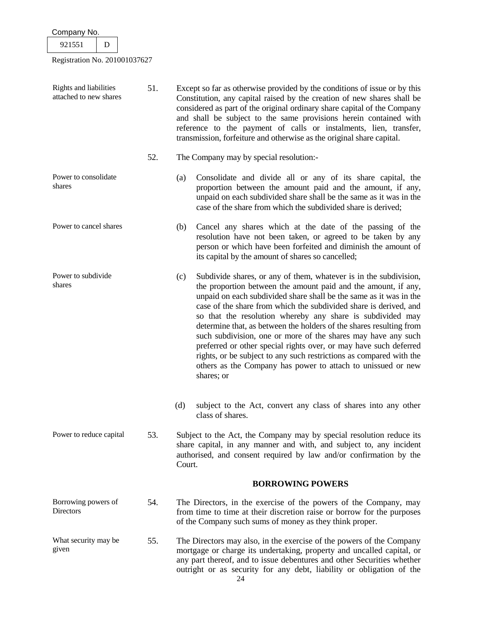| 921551                                           | D |     |                                                                                                                                                                                                                                                                                                                                                                                                                                                                                                                                                                                                                                                                                                                       |
|--------------------------------------------------|---|-----|-----------------------------------------------------------------------------------------------------------------------------------------------------------------------------------------------------------------------------------------------------------------------------------------------------------------------------------------------------------------------------------------------------------------------------------------------------------------------------------------------------------------------------------------------------------------------------------------------------------------------------------------------------------------------------------------------------------------------|
| Registration No. 201001037627                    |   |     |                                                                                                                                                                                                                                                                                                                                                                                                                                                                                                                                                                                                                                                                                                                       |
|                                                  |   |     |                                                                                                                                                                                                                                                                                                                                                                                                                                                                                                                                                                                                                                                                                                                       |
| Rights and liabilities<br>attached to new shares |   | 51. | Except so far as otherwise provided by the conditions of issue or by this<br>Constitution, any capital raised by the creation of new shares shall be<br>considered as part of the original ordinary share capital of the Company<br>and shall be subject to the same provisions herein contained with<br>reference to the payment of calls or instalments, lien, transfer,<br>transmission, forfeiture and otherwise as the original share capital.                                                                                                                                                                                                                                                                   |
|                                                  |   | 52. | The Company may by special resolution:-                                                                                                                                                                                                                                                                                                                                                                                                                                                                                                                                                                                                                                                                               |
| Power to consolidate<br>shares                   |   |     | Consolidate and divide all or any of its share capital, the<br>(a)<br>proportion between the amount paid and the amount, if any,<br>unpaid on each subdivided share shall be the same as it was in the<br>case of the share from which the subdivided share is derived;                                                                                                                                                                                                                                                                                                                                                                                                                                               |
| Power to cancel shares                           |   |     | Cancel any shares which at the date of the passing of the<br>(b)<br>resolution have not been taken, or agreed to be taken by any<br>person or which have been forfeited and diminish the amount of<br>its capital by the amount of shares so cancelled;                                                                                                                                                                                                                                                                                                                                                                                                                                                               |
| Power to subdivide<br>shares                     |   |     | Subdivide shares, or any of them, whatever is in the subdivision,<br>(c)<br>the proportion between the amount paid and the amount, if any,<br>unpaid on each subdivided share shall be the same as it was in the<br>case of the share from which the subdivided share is derived, and<br>so that the resolution whereby any share is subdivided may<br>determine that, as between the holders of the shares resulting from<br>such subdivision, one or more of the shares may have any such<br>preferred or other special rights over, or may have such deferred<br>rights, or be subject to any such restrictions as compared with the<br>others as the Company has power to attach to unissued or new<br>shares; or |
|                                                  |   |     | subject to the Act, convert any class of shares into any other<br>(d)<br>class of shares.                                                                                                                                                                                                                                                                                                                                                                                                                                                                                                                                                                                                                             |
| Power to reduce capital                          |   | 53. | Subject to the Act, the Company may by special resolution reduce its<br>share capital, in any manner and with, and subject to, any incident<br>authorised, and consent required by law and/or confirmation by the<br>Court.                                                                                                                                                                                                                                                                                                                                                                                                                                                                                           |
|                                                  |   |     | <b>BORROWING POWERS</b>                                                                                                                                                                                                                                                                                                                                                                                                                                                                                                                                                                                                                                                                                               |
| Borrowing powers of<br>Directors                 |   | 54. | The Directors, in the exercise of the powers of the Company, may<br>from time to time at their discretion raise or borrow for the purposes<br>of the Company such sums of money as they think proper.                                                                                                                                                                                                                                                                                                                                                                                                                                                                                                                 |
| What security may be<br>given                    |   | 55. | The Directors may also, in the exercise of the powers of the Company<br>mortgage or charge its undertaking, property and uncalled capital, or<br>any part thereof, and to issue debentures and other Securities whether<br>outright or as security for any debt, liability or obligation of the                                                                                                                                                                                                                                                                                                                                                                                                                       |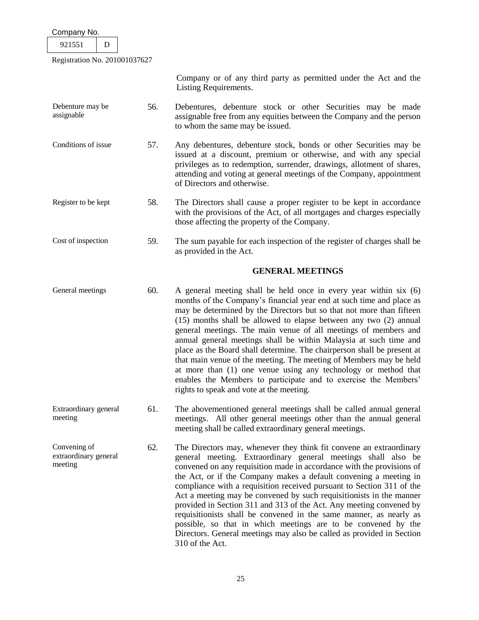| Company No.                                      |     |                                                                                                                                                                                                                                                                                                                                                                                                                                                                                                                                                                                                                                                                                                                                                                  |
|--------------------------------------------------|-----|------------------------------------------------------------------------------------------------------------------------------------------------------------------------------------------------------------------------------------------------------------------------------------------------------------------------------------------------------------------------------------------------------------------------------------------------------------------------------------------------------------------------------------------------------------------------------------------------------------------------------------------------------------------------------------------------------------------------------------------------------------------|
| 921551<br>D                                      |     |                                                                                                                                                                                                                                                                                                                                                                                                                                                                                                                                                                                                                                                                                                                                                                  |
| Registration No. 201001037627                    |     |                                                                                                                                                                                                                                                                                                                                                                                                                                                                                                                                                                                                                                                                                                                                                                  |
|                                                  |     | Company or of any third party as permitted under the Act and the<br>Listing Requirements.                                                                                                                                                                                                                                                                                                                                                                                                                                                                                                                                                                                                                                                                        |
| Debenture may be<br>assignable                   | 56. | Debentures, debenture stock or other Securities may be made<br>assignable free from any equities between the Company and the person<br>to whom the same may be issued.                                                                                                                                                                                                                                                                                                                                                                                                                                                                                                                                                                                           |
| Conditions of issue                              | 57. | Any debentures, debenture stock, bonds or other Securities may be<br>issued at a discount, premium or otherwise, and with any special<br>privileges as to redemption, surrender, drawings, allotment of shares,<br>attending and voting at general meetings of the Company, appointment<br>of Directors and otherwise.                                                                                                                                                                                                                                                                                                                                                                                                                                           |
| Register to be kept                              | 58. | The Directors shall cause a proper register to be kept in accordance<br>with the provisions of the Act, of all mortgages and charges especially<br>those affecting the property of the Company.                                                                                                                                                                                                                                                                                                                                                                                                                                                                                                                                                                  |
| Cost of inspection                               | 59. | The sum payable for each inspection of the register of charges shall be<br>as provided in the Act.                                                                                                                                                                                                                                                                                                                                                                                                                                                                                                                                                                                                                                                               |
|                                                  |     | <b>GENERAL MEETINGS</b>                                                                                                                                                                                                                                                                                                                                                                                                                                                                                                                                                                                                                                                                                                                                          |
| General meetings                                 | 60. | A general meeting shall be held once in every year within six (6)<br>months of the Company's financial year end at such time and place as<br>may be determined by the Directors but so that not more than fifteen<br>(15) months shall be allowed to elapse between any two (2) annual<br>general meetings. The main venue of all meetings of members and<br>annual general meetings shall be within Malaysia at such time and<br>place as the Board shall determine. The chairperson shall be present at<br>that main venue of the meeting. The meeting of Members may be held<br>at more than (1) one venue using any technology or method that<br>enables the Members to participate and to exercise the Members'<br>rights to speak and vote at the meeting. |
| Extraordinary general<br>meeting                 | 61. | The abovementioned general meetings shall be called annual general<br>meetings. All other general meetings other than the annual general<br>meeting shall be called extraordinary general meetings.                                                                                                                                                                                                                                                                                                                                                                                                                                                                                                                                                              |
| Convening of<br>extraordinary general<br>meeting | 62. | The Directors may, whenever they think fit convene an extraordinary<br>general meeting. Extraordinary general meetings shall also be<br>convened on any requisition made in accordance with the provisions of<br>the Act, or if the Company makes a default convening a meeting in<br>compliance with a requisition received pursuant to Section 311 of the<br>Act a meeting may be convened by such requisitionists in the manner<br>provided in Section 311 and 313 of the Act. Any meeting convened by<br>requisitionists shall be convened in the same manner, as nearly as<br>possible, so that in which meetings are to be convened by the<br>Directors. General meetings may also be called as provided in Section<br>310 of the Act.                     |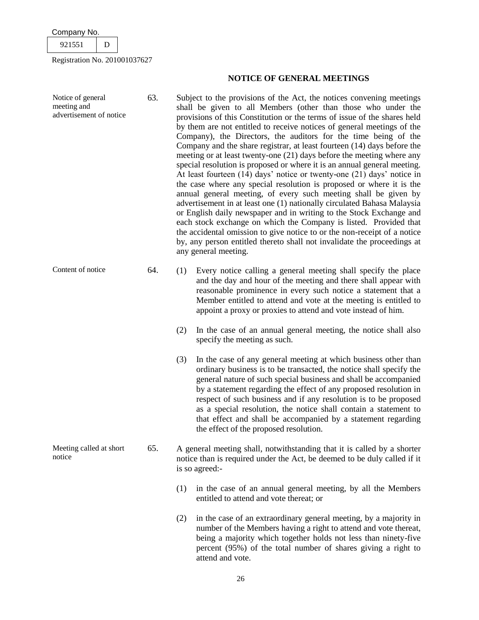meeting and

| 55.<br>- |  |
|----------|--|
|          |  |

Registration No. 201001037627

# **NOTICE OF GENERAL MEETINGS**

- Notice of general advertisement of notice 63. Subject to the provisions of the Act, the notices convening meetings shall be given to all Members (other than those who under the provisions of this Constitution or the terms of issue of the shares held by them are not entitled to receive notices of general meetings of the Company), the Directors, the auditors for the time being of the Company and the share registrar, at least fourteen (14) days before the meeting or at least twenty-one (21) days before the meeting where any special resolution is proposed or where it is an annual general meeting. At least fourteen (14) days' notice or twenty-one (21) days' notice in the case where any special resolution is proposed or where it is the annual general meeting, of every such meeting shall be given by advertisement in at least one (1) nationally circulated Bahasa Malaysia or English daily newspaper and in writing to the Stock Exchange and each stock exchange on which the Company is listed. Provided that the accidental omission to give notice to or the non-receipt of a notice by, any person entitled thereto shall not invalidate the proceedings at any general meeting.
- Content of notice 64. (1) Every notice calling a general meeting shall specify the place and the day and hour of the meeting and there shall appear with reasonable prominence in every such notice a statement that a Member entitled to attend and vote at the meeting is entitled to appoint a proxy or proxies to attend and vote instead of him.
	- (2) In the case of an annual general meeting, the notice shall also specify the meeting as such.
	- (3) In the case of any general meeting at which business other than ordinary business is to be transacted, the notice shall specify the general nature of such special business and shall be accompanied by a statement regarding the effect of any proposed resolution in respect of such business and if any resolution is to be proposed as a special resolution, the notice shall contain a statement to that effect and shall be accompanied by a statement regarding the effect of the proposed resolution.
- Meeting called at short notice 65. A general meeting shall, notwithstanding that it is called by a shorter notice than is required under the Act, be deemed to be duly called if it is so agreed:-
	- (1) in the case of an annual general meeting, by all the Members entitled to attend and vote thereat; or
	- (2) in the case of an extraordinary general meeting, by a majority in number of the Members having a right to attend and vote thereat, being a majority which together holds not less than ninety-five percent (95%) of the total number of shares giving a right to attend and vote.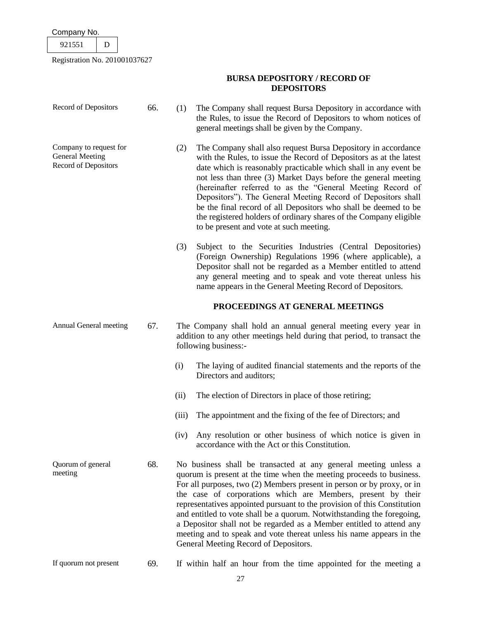| Company No. |  |
|-------------|--|
|             |  |

| л.<br>╯<br>---<br>- |  |
|---------------------|--|
|                     |  |

٦

| Record of Depositors                                                     | 66. | (1)   | The Company shall request Bursa Depository in accordance with<br>the Rules, to issue the Record of Depositors to whom notices of<br>general meetings shall be given by the Company.                                                                                                                                                                                                                                                                                                                                                                                                                                              |
|--------------------------------------------------------------------------|-----|-------|----------------------------------------------------------------------------------------------------------------------------------------------------------------------------------------------------------------------------------------------------------------------------------------------------------------------------------------------------------------------------------------------------------------------------------------------------------------------------------------------------------------------------------------------------------------------------------------------------------------------------------|
| Company to request for<br><b>General Meeting</b><br>Record of Depositors |     | (2)   | The Company shall also request Bursa Depository in accordance<br>with the Rules, to issue the Record of Depositors as at the latest<br>date which is reasonably practicable which shall in any event be<br>not less than three (3) Market Days before the general meeting<br>(hereinafter referred to as the "General Meeting Record of<br>Depositors"). The General Meeting Record of Depositors shall<br>be the final record of all Depositors who shall be deemed to be<br>the registered holders of ordinary shares of the Company eligible<br>to be present and vote at such meeting.                                       |
|                                                                          |     | (3)   | Subject to the Securities Industries (Central Depositories)<br>(Foreign Ownership) Regulations 1996 (where applicable), a<br>Depositor shall not be regarded as a Member entitled to attend<br>any general meeting and to speak and vote thereat unless his<br>name appears in the General Meeting Record of Depositors.                                                                                                                                                                                                                                                                                                         |
|                                                                          |     |       | PROCEEDINGS AT GENERAL MEETINGS                                                                                                                                                                                                                                                                                                                                                                                                                                                                                                                                                                                                  |
| Annual General meeting                                                   | 67. |       | The Company shall hold an annual general meeting every year in<br>addition to any other meetings held during that period, to transact the<br>following business:-                                                                                                                                                                                                                                                                                                                                                                                                                                                                |
|                                                                          |     | (i)   | The laying of audited financial statements and the reports of the<br>Directors and auditors;                                                                                                                                                                                                                                                                                                                                                                                                                                                                                                                                     |
|                                                                          |     | (ii)  | The election of Directors in place of those retiring;                                                                                                                                                                                                                                                                                                                                                                                                                                                                                                                                                                            |
|                                                                          |     | (iii) | The appointment and the fixing of the fee of Directors; and                                                                                                                                                                                                                                                                                                                                                                                                                                                                                                                                                                      |
|                                                                          |     | (iv)  | Any resolution or other business of which notice is given in<br>accordance with the Act or this Constitution.                                                                                                                                                                                                                                                                                                                                                                                                                                                                                                                    |
| Quorum of general<br>meeting                                             | 68. |       | No business shall be transacted at any general meeting unless a<br>quorum is present at the time when the meeting proceeds to business.<br>For all purposes, two (2) Members present in person or by proxy, or in<br>the case of corporations which are Members, present by their<br>representatives appointed pursuant to the provision of this Constitution<br>and entitled to vote shall be a quorum. Notwithstanding the foregoing,<br>a Depositor shall not be regarded as a Member entitled to attend any<br>meeting and to speak and vote thereat unless his name appears in the<br>General Meeting Record of Depositors. |
| If quorum not present                                                    | 69. |       | If within half an hour from the time appointed for the meeting a                                                                                                                                                                                                                                                                                                                                                                                                                                                                                                                                                                 |

# **BURSA DEPOSITORY / RECORD OF DEPOSITORS**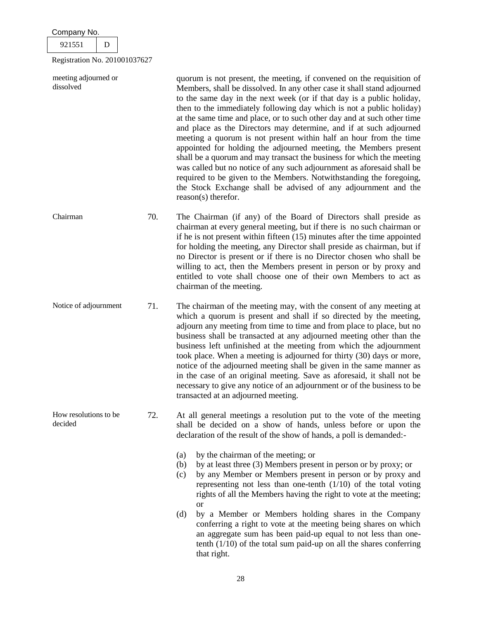| Company No.                       |     |                                                                                                                                                                                                                                                                                                                                                                                                                                                                                                                                                                                                                                                                                                                                                                                                                                                                                                                |
|-----------------------------------|-----|----------------------------------------------------------------------------------------------------------------------------------------------------------------------------------------------------------------------------------------------------------------------------------------------------------------------------------------------------------------------------------------------------------------------------------------------------------------------------------------------------------------------------------------------------------------------------------------------------------------------------------------------------------------------------------------------------------------------------------------------------------------------------------------------------------------------------------------------------------------------------------------------------------------|
| 921551<br>D                       |     |                                                                                                                                                                                                                                                                                                                                                                                                                                                                                                                                                                                                                                                                                                                                                                                                                                                                                                                |
| Registration No. 201001037627     |     |                                                                                                                                                                                                                                                                                                                                                                                                                                                                                                                                                                                                                                                                                                                                                                                                                                                                                                                |
| meeting adjourned or<br>dissolved |     | quorum is not present, the meeting, if convened on the requisition of<br>Members, shall be dissolved. In any other case it shall stand adjourned<br>to the same day in the next week (or if that day is a public holiday,<br>then to the immediately following day which is not a public holiday)<br>at the same time and place, or to such other day and at such other time<br>and place as the Directors may determine, and if at such adjourned<br>meeting a quorum is not present within half an hour from the time<br>appointed for holding the adjourned meeting, the Members present<br>shall be a quorum and may transact the business for which the meeting<br>was called but no notice of any such adjournment as aforesaid shall be<br>required to be given to the Members. Notwithstanding the foregoing,<br>the Stock Exchange shall be advised of any adjournment and the<br>reason(s) therefor. |
| Chairman                          | 70. | The Chairman (if any) of the Board of Directors shall preside as<br>chairman at every general meeting, but if there is no such chairman or<br>if he is not present within fifteen $(15)$ minutes after the time appointed<br>for holding the meeting, any Director shall preside as chairman, but if<br>no Director is present or if there is no Director chosen who shall be<br>willing to act, then the Members present in person or by proxy and<br>entitled to vote shall choose one of their own Members to act as<br>chairman of the meeting.                                                                                                                                                                                                                                                                                                                                                            |
| Notice of adjournment             | 71. | The chairman of the meeting may, with the consent of any meeting at<br>which a quorum is present and shall if so directed by the meeting,<br>adjourn any meeting from time to time and from place to place, but no<br>business shall be transacted at any adjourned meeting other than the<br>business left unfinished at the meeting from which the adjournment<br>took place. When a meeting is adjourned for thirty (30) days or more,<br>notice of the adjourned meeting shall be given in the same manner as<br>in the case of an original meeting. Save as aforesaid, it shall not be<br>necessary to give any notice of an adjournment or of the business to be<br>transacted at an adjourned meeting.                                                                                                                                                                                                  |
| How resolutions to be<br>decided  | 72. | At all general meetings a resolution put to the vote of the meeting<br>shall be decided on a show of hands, unless before or upon the<br>declaration of the result of the show of hands, a poll is demanded:-<br>by the chairman of the meeting; or<br>(a)<br>by at least three (3) Members present in person or by proxy; or<br>(b)<br>by any Member or Members present in person or by proxy and<br>(c)<br>representing not less than one-tenth $(1/10)$ of the total voting<br>rights of all the Members having the right to vote at the meeting;<br><b>or</b><br>by a Member or Members holding shares in the Company<br>(d)<br>conferring a right to vote at the meeting being shares on which<br>an aggregate sum has been paid-up equal to not less than one-<br>tenth $(1/10)$ of the total sum paid-up on all the shares conferring<br>that right.                                                    |

28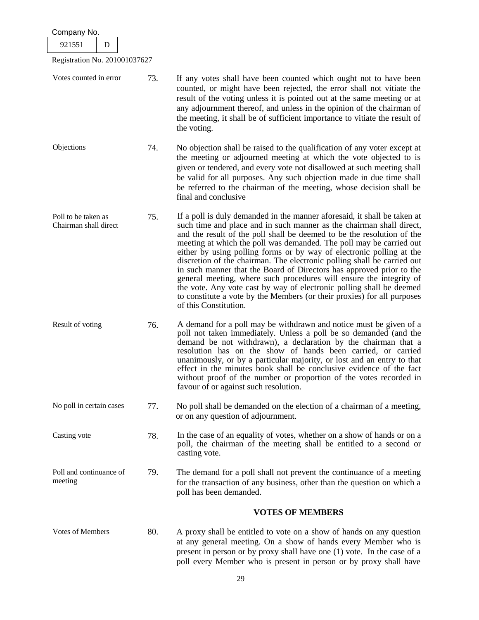| Company No.                                  |     |                                                                                                                                                                                                                                                                                                                                                                                                                                                                                                                                                                                                                                                                                                                                                                                 |  |  |
|----------------------------------------------|-----|---------------------------------------------------------------------------------------------------------------------------------------------------------------------------------------------------------------------------------------------------------------------------------------------------------------------------------------------------------------------------------------------------------------------------------------------------------------------------------------------------------------------------------------------------------------------------------------------------------------------------------------------------------------------------------------------------------------------------------------------------------------------------------|--|--|
| 921551<br>D                                  |     |                                                                                                                                                                                                                                                                                                                                                                                                                                                                                                                                                                                                                                                                                                                                                                                 |  |  |
| Registration No. 201001037627                |     |                                                                                                                                                                                                                                                                                                                                                                                                                                                                                                                                                                                                                                                                                                                                                                                 |  |  |
| Votes counted in error                       | 73. | If any votes shall have been counted which ought not to have been<br>counted, or might have been rejected, the error shall not vitiate the<br>result of the voting unless it is pointed out at the same meeting or at<br>any adjournment thereof, and unless in the opinion of the chairman of<br>the meeting, it shall be of sufficient importance to vitiate the result of<br>the voting.                                                                                                                                                                                                                                                                                                                                                                                     |  |  |
| Objections                                   | 74. | No objection shall be raised to the qualification of any voter except at<br>the meeting or adjourned meeting at which the vote objected to is<br>given or tendered, and every vote not disallowed at such meeting shall<br>be valid for all purposes. Any such objection made in due time shall<br>be referred to the chairman of the meeting, whose decision shall be<br>final and conclusive                                                                                                                                                                                                                                                                                                                                                                                  |  |  |
| Poll to be taken as<br>Chairman shall direct | 75. | If a poll is duly demanded in the manner aforesaid, it shall be taken at<br>such time and place and in such manner as the chairman shall direct,<br>and the result of the poll shall be deemed to be the resolution of the<br>meeting at which the poll was demanded. The poll may be carried out<br>either by using polling forms or by way of electronic polling at the<br>discretion of the chairman. The electronic polling shall be carried out<br>in such manner that the Board of Directors has approved prior to the<br>general meeting, where such procedures will ensure the integrity of<br>the vote. Any vote cast by way of electronic polling shall be deemed<br>to constitute a vote by the Members (or their proxies) for all purposes<br>of this Constitution. |  |  |
| Result of voting                             | 76. | A demand for a poll may be withdrawn and notice must be given of a<br>poll not taken immediately. Unless a poll be so demanded (and the<br>demand be not withdrawn), a declaration by the chairman that a<br>resolution has on the show of hands been carried, or carried<br>unanimously, or by a particular majority, or lost and an entry to that<br>effect in the minutes book shall be conclusive evidence of the fact<br>without proof of the number or proportion of the votes recorded in<br>favour of or against such resolution.                                                                                                                                                                                                                                       |  |  |
| No poll in certain cases                     | 77. | No poll shall be demanded on the election of a chairman of a meeting,<br>or on any question of adjournment.                                                                                                                                                                                                                                                                                                                                                                                                                                                                                                                                                                                                                                                                     |  |  |
| Casting vote                                 | 78. | In the case of an equality of votes, whether on a show of hands or on a<br>poll, the chairman of the meeting shall be entitled to a second or<br>casting vote.                                                                                                                                                                                                                                                                                                                                                                                                                                                                                                                                                                                                                  |  |  |
| Poll and continuance of<br>meeting           | 79. | The demand for a poll shall not prevent the continuance of a meeting<br>for the transaction of any business, other than the question on which a<br>poll has been demanded.                                                                                                                                                                                                                                                                                                                                                                                                                                                                                                                                                                                                      |  |  |
|                                              |     | <b>VOTES OF MEMBERS</b>                                                                                                                                                                                                                                                                                                                                                                                                                                                                                                                                                                                                                                                                                                                                                         |  |  |
| Votes of Members                             | 80. | A proxy shall be entitled to vote on a show of hands on any question<br>at any general meeting. On a show of hands every Member who is<br>present in person or by proxy shall have one (1) vote. In the case of a<br>poll every Member who is present in person or by proxy shall have                                                                                                                                                                                                                                                                                                                                                                                                                                                                                          |  |  |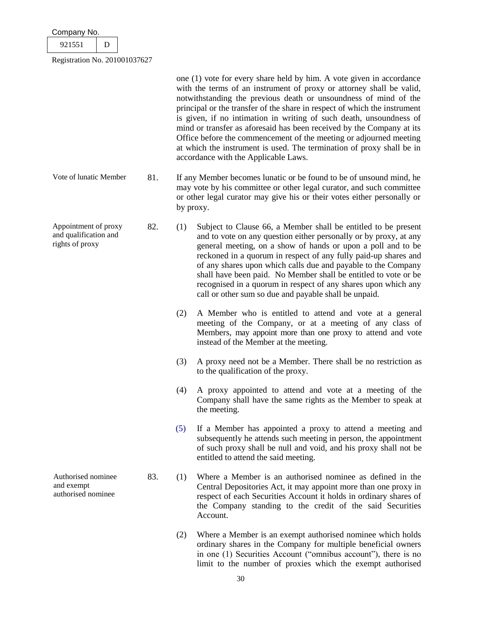| Company No. |  |  |
|-------------|--|--|
| 921551      |  |  |
|             |  |  |

one (1) vote for every share held by him. A vote given in accordance with the terms of an instrument of proxy or attorney shall be valid, notwithstanding the previous death or unsoundness of mind of the principal or the transfer of the share in respect of which the instrument is given, if no intimation in writing of such death, unsoundness of mind or transfer as aforesaid has been received by the Company at its Office before the commencement of the meeting or adjourned meeting at which the instrument is used. The termination of proxy shall be in accordance with the Applicable Laws. Vote of lunatic Member 81. If any Member becomes lunatic or be found to be of unsound mind, he may vote by his committee or other legal curator, and such committee or other legal curator may give his or their votes either personally or by proxy. Appointment of proxy and qualification and rights of proxy 82. (1) Subject to Clause 66, a Member shall be entitled to be present and to vote on any question either personally or by proxy, at any general meeting, on a show of hands or upon a poll and to be reckoned in a quorum in respect of any fully paid-up shares and of any shares upon which calls due and payable to the Company shall have been paid. No Member shall be entitled to vote or be recognised in a quorum in respect of any shares upon which any call or other sum so due and payable shall be unpaid. (2) A Member who is entitled to attend and vote at a general meeting of the Company, or at a meeting of any class of Members, may appoint more than one proxy to attend and vote instead of the Member at the meeting. (3) A proxy need not be a Member. There shall be no restriction as to the qualification of the proxy. (4) A proxy appointed to attend and vote at a meeting of the Company shall have the same rights as the Member to speak at the meeting. (5) If a Member has appointed a proxy to attend a meeting and subsequently he attends such meeting in person, the appointment of such proxy shall be null and void, and his proxy shall not be entitled to attend the said meeting. Authorised nominee and exempt authorised nominee 83. (1) Where a Member is an authorised nominee as defined in the Central Depositories Act, it may appoint more than one proxy in respect of each Securities Account it holds in ordinary shares of the Company standing to the credit of the said Securities Account. (2) Where a Member is an exempt authorised nominee which holds ordinary shares in the Company for multiple beneficial owners in one (1) Securities Account ("omnibus account"), there is no

limit to the number of proxies which the exempt authorised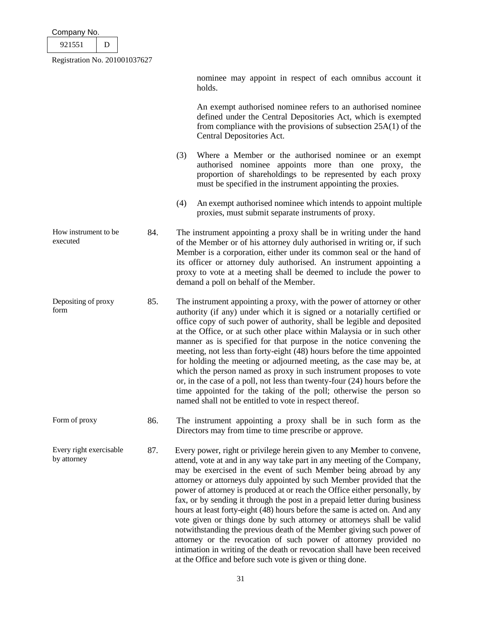| Company No. |  |
|-------------|--|
| 921551      |  |
|             |  |

nominee may appoint in respect of each omnibus account it holds.

An exempt authorised nominee refers to an authorised nominee defined under the Central Depositories Act, which is exempted from compliance with the provisions of subsection 25A(1) of the Central Depositories Act.

- (3) Where a Member or the authorised nominee or an exempt authorised nominee appoints more than one proxy, the proportion of shareholdings to be represented by each proxy must be specified in the instrument appointing the proxies.
- (4) An exempt authorised nominee which intends to appoint multiple proxies, must submit separate instruments of proxy.
- How instrument to be executed 84. The instrument appointing a proxy shall be in writing under the hand of the Member or of his attorney duly authorised in writing or, if such Member is a corporation, either under its common seal or the hand of its officer or attorney duly authorised. An instrument appointing a proxy to vote at a meeting shall be deemed to include the power to demand a poll on behalf of the Member.
- Depositing of proxy form 85. The instrument appointing a proxy, with the power of attorney or other authority (if any) under which it is signed or a notarially certified or office copy of such power of authority, shall be legible and deposited at the Office, or at such other place within Malaysia or in such other manner as is specified for that purpose in the notice convening the meeting, not less than forty-eight (48) hours before the time appointed for holding the meeting or adjourned meeting, as the case may be, at which the person named as proxy in such instrument proposes to vote or, in the case of a poll, not less than twenty-four (24) hours before the time appointed for the taking of the poll; otherwise the person so named shall not be entitled to vote in respect thereof.
- Form of proxy 86. The instrument appointing a proxy shall be in such form as the Directors may from time to time prescribe or approve.

Every right exercisable by attorney 87. Every power, right or privilege herein given to any Member to convene, attend, vote at and in any way take part in any meeting of the Company, may be exercised in the event of such Member being abroad by any attorney or attorneys duly appointed by such Member provided that the power of attorney is produced at or reach the Office either personally, by fax, or by sending it through the post in a prepaid letter during business hours at least forty-eight (48) hours before the same is acted on. And any vote given or things done by such attorney or attorneys shall be valid notwithstanding the previous death of the Member giving such power of attorney or the revocation of such power of attorney provided no intimation in writing of the death or revocation shall have been received at the Office and before such vote is given or thing done.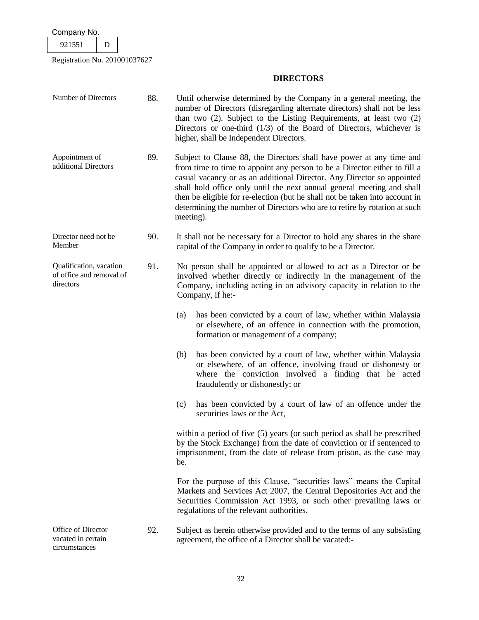921551 D

Registration No. 201001037627

# **DIRECTORS**

| Number of Directors                                              | 88. | Until otherwise determined by the Company in a general meeting, the<br>number of Directors (disregarding alternate directors) shall not be less<br>than two (2). Subject to the Listing Requirements, at least two (2)<br>Directors or one-third $(1/3)$ of the Board of Directors, whichever is<br>higher, shall be Independent Directors.                                                                                                                                    |  |
|------------------------------------------------------------------|-----|--------------------------------------------------------------------------------------------------------------------------------------------------------------------------------------------------------------------------------------------------------------------------------------------------------------------------------------------------------------------------------------------------------------------------------------------------------------------------------|--|
| Appointment of<br>additional Directors                           | 89. | Subject to Clause 88, the Directors shall have power at any time and<br>from time to time to appoint any person to be a Director either to fill a<br>casual vacancy or as an additional Director. Any Director so appointed<br>shall hold office only until the next annual general meeting and shall<br>then be eligible for re-election (but he shall not be taken into account in<br>determining the number of Directors who are to retire by rotation at such<br>meeting). |  |
| Director need not be<br>Member                                   | 90. | It shall not be necessary for a Director to hold any shares in the share<br>capital of the Company in order to qualify to be a Director.                                                                                                                                                                                                                                                                                                                                       |  |
| Qualification, vacation<br>of office and removal of<br>directors | 91. | No person shall be appointed or allowed to act as a Director or be<br>involved whether directly or indirectly in the management of the<br>Company, including acting in an advisory capacity in relation to the<br>Company, if he:-                                                                                                                                                                                                                                             |  |
|                                                                  |     | has been convicted by a court of law, whether within Malaysia<br>(a)<br>or elsewhere, of an offence in connection with the promotion,<br>formation or management of a company;                                                                                                                                                                                                                                                                                                 |  |
|                                                                  |     | has been convicted by a court of law, whether within Malaysia<br>(b)<br>or elsewhere, of an offence, involving fraud or dishonesty or<br>where the conviction involved a finding that he acted<br>fraudulently or dishonestly; or                                                                                                                                                                                                                                              |  |
|                                                                  |     | has been convicted by a court of law of an offence under the<br>(c)<br>securities laws or the Act,                                                                                                                                                                                                                                                                                                                                                                             |  |
|                                                                  |     | within a period of five (5) years (or such period as shall be prescribed<br>by the Stock Exchange) from the date of conviction or if sentenced to<br>imprisonment, from the date of release from prison, as the case may<br>be.                                                                                                                                                                                                                                                |  |
|                                                                  |     | For the purpose of this Clause, "securities laws" means the Capital<br>Markets and Services Act 2007, the Central Depositories Act and the<br>Securities Commission Act 1993, or such other prevailing laws or<br>regulations of the relevant authorities.                                                                                                                                                                                                                     |  |
| Office of Director<br>vacated in certain                         | 92. | Subject as herein otherwise provided and to the terms of any subsisting<br>agreement, the office of a Director shall be vacated:-                                                                                                                                                                                                                                                                                                                                              |  |

vacated in certain circumstances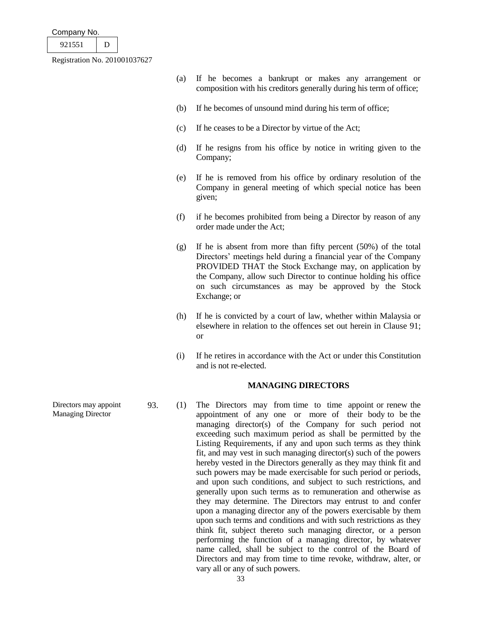| Company No. |  |
|-------------|--|
|-------------|--|

| ۰. |  |
|----|--|
|    |  |

- (a) If he becomes a bankrupt or makes any arrangement or composition with his creditors generally during his term of office;
- (b) If he becomes of unsound mind during his term of office;
- (c) If he ceases to be a Director by virtue of the Act;
- (d) If he resigns from his office by notice in writing given to the Company;
- (e) If he is removed from his office by ordinary resolution of the Company in general meeting of which special notice has been given;
- (f) if he becomes prohibited from being a Director by reason of any order made under the Act;
- (g) If he is absent from more than fifty percent (50%) of the total Directors' meetings held during a financial year of the Company PROVIDED THAT the Stock Exchange may, on application by the Company, allow such Director to continue holding his office on such circumstances as may be approved by the Stock Exchange; or
- (h) If he is convicted by a court of law, whether within Malaysia or elsewhere in relation to the offences set out herein in Clause 91; or
- (i) If he retires in accordance with the Act or under this Constitution and is not re-elected.

# **MANAGING DIRECTORS**

93. (1) The Directors may from time to time appoint or renew the appointment of any one or more of their body to be the managing director(s) of the Company for such period not exceeding such maximum period as shall be permitted by the Listing Requirements, if any and upon such terms as they think fit, and may vest in such managing director(s) such of the powers hereby vested in the Directors generally as they may think fit and such powers may be made exercisable for such period or periods, and upon such conditions, and subject to such restrictions, and generally upon such terms as to remuneration and otherwise as they may determine. The Directors may entrust to and confer upon a managing director any of the powers exercisable by them upon such terms and conditions and with such restrictions as they think fit, subject thereto such managing director, or a person performing the function of a managing director, by whatever name called, shall be subject to the control of the Board of Directors and may from time to time revoke, withdraw, alter, or vary all or any of such powers.

Directors may appoint Managing Director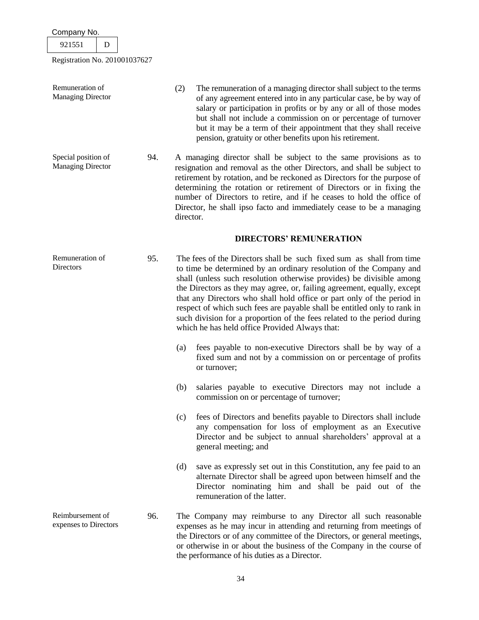| Company No. |  |
|-------------|--|
| 921551      |  |
|             |  |

 $\lceil$ 

Registration No. 201001037627

| Remuneration of<br><b>Managing Director</b>     |     | (2)<br>The remuneration of a managing director shall subject to the terms<br>of any agreement entered into in any particular case, be by way of<br>salary or participation in profits or by any or all of those modes<br>but shall not include a commission on or percentage of turnover<br>but it may be a term of their appointment that they shall receive<br>pension, gratuity or other benefits upon his retirement.                                                                                                                                                        |  |
|-------------------------------------------------|-----|----------------------------------------------------------------------------------------------------------------------------------------------------------------------------------------------------------------------------------------------------------------------------------------------------------------------------------------------------------------------------------------------------------------------------------------------------------------------------------------------------------------------------------------------------------------------------------|--|
| Special position of<br><b>Managing Director</b> | 94. | A managing director shall be subject to the same provisions as to<br>resignation and removal as the other Directors, and shall be subject to<br>retirement by rotation, and be reckoned as Directors for the purpose of<br>determining the rotation or retirement of Directors or in fixing the<br>number of Directors to retire, and if he ceases to hold the office of<br>Director, he shall ipso facto and immediately cease to be a managing<br>director.                                                                                                                    |  |
|                                                 |     | <b>DIRECTORS' REMUNERATION</b>                                                                                                                                                                                                                                                                                                                                                                                                                                                                                                                                                   |  |
| Remuneration of<br>Directors                    | 95. | The fees of the Directors shall be such fixed sum as shall from time<br>to time be determined by an ordinary resolution of the Company and<br>shall (unless such resolution otherwise provides) be divisible among<br>the Directors as they may agree, or, failing agreement, equally, except<br>that any Directors who shall hold office or part only of the period in<br>respect of which such fees are payable shall be entitled only to rank in<br>such division for a proportion of the fees related to the period during<br>which he has held office Provided Always that: |  |
|                                                 |     | fees payable to non-executive Directors shall be by way of a<br>(a)<br>fixed sum and not by a commission on or percentage of profits<br>or turnover;                                                                                                                                                                                                                                                                                                                                                                                                                             |  |
|                                                 |     | salaries payable to executive Directors may not include a<br>(b)<br>commission on or percentage of turnover;                                                                                                                                                                                                                                                                                                                                                                                                                                                                     |  |
|                                                 |     | fees of Directors and benefits payable to Directors shall include<br>(c)<br>any compensation for loss of employment as an Executive<br>Director and be subject to annual shareholders' approval at a<br>general meeting; and                                                                                                                                                                                                                                                                                                                                                     |  |
|                                                 |     | (d)<br>save as expressly set out in this Constitution, any fee paid to an<br>alternate Director shall be agreed upon between himself and the<br>Director nominating him and shall be paid out of the<br>remuneration of the latter.                                                                                                                                                                                                                                                                                                                                              |  |
| Reimbursement of<br>expenses to Directors       | 96. | The Company may reimburse to any Director all such reasonable<br>expenses as he may incur in attending and returning from meetings of<br>the Directors or of any committee of the Directors, or general meetings,<br>or otherwise in or about the business of the Company in the course of                                                                                                                                                                                                                                                                                       |  |

the performance of his duties as a Director.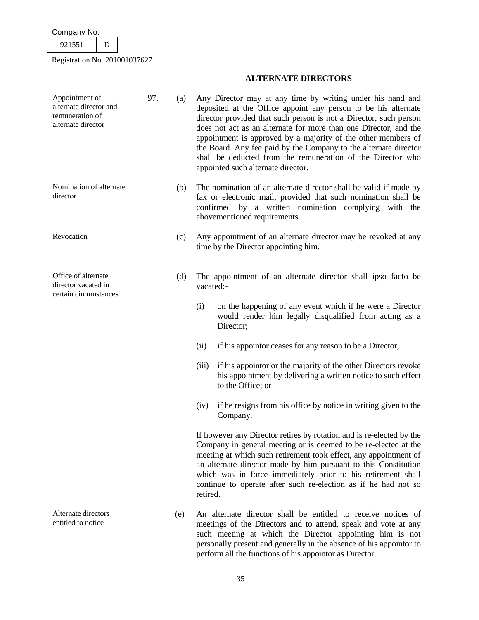| 551 |  |
|-----|--|
|     |  |

Registration No. 201001037627

# Appointment of alternate director and remuneration of alternate director 97. (a) Any Director may at any time by writing under his hand and deposited at the Office appoint any person to be his alternate director provided that such person is not a Director, such person does not act as an alternate for more than one Director, and the appointment is approved by a majority of the other members of the Board. Any fee paid by the Company to the alternate director shall be deducted from the remuneration of the Director who appointed such alternate director. Nomination of alternate director (b) The nomination of an alternate director shall be valid if made by fax or electronic mail, provided that such nomination shall be confirmed by a written nomination complying with the abovementioned requirements. Revocation (c) Any appointment of an alternate director may be revoked at any time by the Director appointing him. Office of alternate director vacated in certain circumstances (d) The appointment of an alternate director shall ipso facto be vacated:- (i) on the happening of any event which if he were a Director Director; (ii) if his appointor ceases for any reason to be a Director; (iii) if his appointor or the majority of the other Directors revoke to the Office; or (iv) if he resigns from his office by notice in writing given to the Company. If however any Director retires by rotation and is re-elected by the retired. Alternate directors entitled to notice (e) An alternate director shall be entitled to receive notices of meetings of the Directors and to attend, speak and vote at any such meeting at which the Director appointing him is not personally present and generally in the absence of his appointor to perform all the functions of his appointor as Director.

**ALTERNATE DIRECTORS**

- would render him legally disqualified from acting as a
- his appointment by delivering a written notice to such effect
- 

Company in general meeting or is deemed to be re-elected at the meeting at which such retirement took effect, any appointment of an alternate director made by him pursuant to this Constitution which was in force immediately prior to his retirement shall continue to operate after such re-election as if he had not so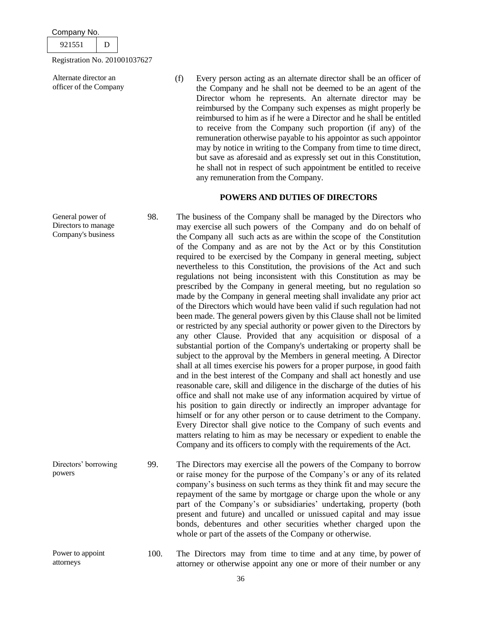921551 D

Registration No. 201001037627

Alternate director an officer of the Company (f) Every person acting as an alternate director shall be an officer of the Company and he shall not be deemed to be an agent of the Director whom he represents. An alternate director may be reimbursed by the Company such expenses as might properly be reimbursed to him as if he were a Director and he shall be entitled to receive from the Company such proportion (if any) of the remuneration otherwise payable to his appointor as such appointor may by notice in writing to the Company from time to time direct, but save as aforesaid and as expressly set out in this Constitution, he shall not in respect of such appointment be entitled to receive any remuneration from the Company.

# **POWERS AND DUTIES OF DIRECTORS**

- General power of Directors to manage 98. The business of the Company shall be managed by the Directors who may exercise all such powers of the Company and do on behalf of the Company all such acts as are within the scope of the Constitution of the Company and as are not by the Act or by this Constitution required to be exercised by the Company in general meeting, subject nevertheless to this Constitution, the provisions of the Act and such regulations not being inconsistent with this Constitution as may be prescribed by the Company in general meeting, but no regulation so made by the Company in general meeting shall invalidate any prior act of the Directors which would have been valid if such regulation had not been made. The general powers given by this Clause shall not be limited or restricted by any special authority or power given to the Directors by any other Clause. Provided that any acquisition or disposal of a substantial portion of the Company's undertaking or property shall be subject to the approval by the Members in general meeting. A Director shall at all times exercise his powers for a proper purpose, in good faith and in the best interest of the Company and shall act honestly and use reasonable care, skill and diligence in the discharge of the duties of his office and shall not make use of any information acquired by virtue of his position to gain directly or indirectly an improper advantage for himself or for any other person or to cause detriment to the Company. Every Director shall give notice to the Company of such events and matters relating to him as may be necessary or expedient to enable the Company and its officers to comply with the requirements of the Act. Directors' borrowing 99. The Directors may exercise all the powers of the Company to borrow or raise money for the purpose of the Company's or any of its related company's business on such terms as they think fit and may secure the
- powers repayment of the same by mortgage or charge upon the whole or any part of the Company's or subsidiaries' undertaking, property (both present and future) and uncalled or unissued capital and may issue bonds, debentures and other securities whether charged upon the whole or part of the assets of the Company or otherwise.
	- 100. The Directors may from time to time and at any time, by power of attorney or otherwise appoint any one or more of their number or any

Company's business

Power to appoint attorneys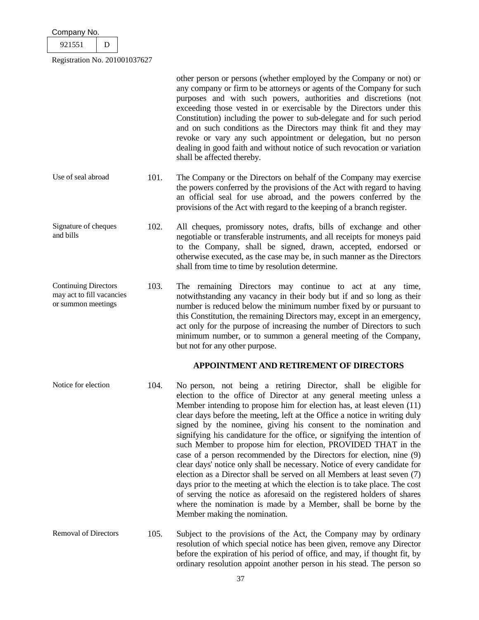| Company No. |  |
|-------------|--|
| 921551      |  |

other person or persons (whether employed by the Company or not) or any company or firm to be attorneys or agents of the Company for such purposes and with such powers, authorities and discretions (not exceeding those vested in or exercisable by the Directors under this Constitution) including the power to sub-delegate and for such period and on such conditions as the Directors may think fit and they may revoke or vary any such appointment or delegation, but no person dealing in good faith and without notice of such revocation or variation shall be affected thereby.

- Use of seal abroad 101. The Company or the Directors on behalf of the Company may exercise the powers conferred by the provisions of the Act with regard to having an official seal for use abroad, and the powers conferred by the provisions of the Act with regard to the keeping of a branch register.
- Signature of cheques and bills 102. All cheques, promissory notes, drafts, bills of exchange and other negotiable or transferable instruments, and all receipts for moneys paid to the Company, shall be signed, drawn, accepted, endorsed or otherwise executed, as the case may be, in such manner as the Directors shall from time to time by resolution determine.
- Continuing Directors may act to fill vacancies or summon meetings 103. The remaining Directors may continue to act at any time, notwithstanding any vacancy in their body but if and so long as their number is reduced below the minimum number fixed by or pursuant to this Constitution, the remaining Directors may, except in an emergency, act only for the purpose of increasing the number of Directors to such minimum number, or to summon a general meeting of the Company, but not for any other purpose.

# **APPOINTMENT AND RETIREMENT OF DIRECTORS**

- Notice for election 104. No person, not being a retiring Director, shall be eligible for election to the office of Director at any general meeting unless a Member intending to propose him for election has, at least eleven (11) clear days before the meeting, left at the Office a notice in writing duly signed by the nominee, giving his consent to the nomination and signifying his candidature for the office, or signifying the intention of such Member to propose him for election, PROVIDED THAT in the case of a person recommended by the Directors for election, nine (9) clear days' notice only shall be necessary. Notice of every candidate for election as a Director shall be served on all Members at least seven (7) days prior to the meeting at which the election is to take place. The cost of serving the notice as aforesaid on the registered holders of shares where the nomination is made by a Member, shall be borne by the Member making the nomination.
- Removal of Directors 105. Subject to the provisions of the Act, the Company may by ordinary resolution of which special notice has been given, remove any Director before the expiration of his period of office, and may, if thought fit, by ordinary resolution appoint another person in his stead. The person so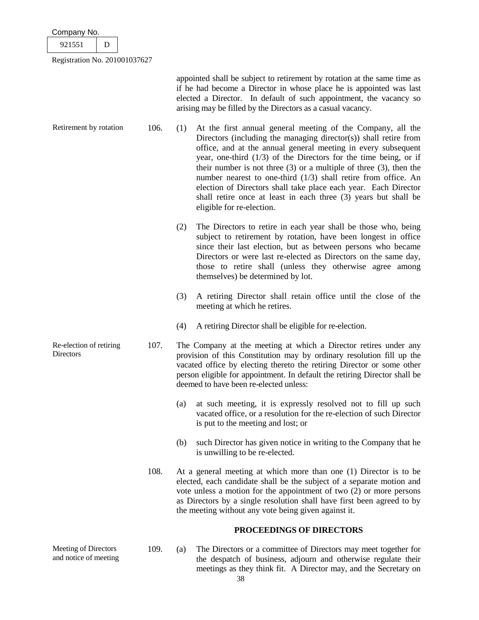| Company No.                   |  |
|-------------------------------|--|
| 921551                        |  |
| Registration No. 201001037627 |  |

Meeting of Directors and notice of meeting

appointed shall be subject to retirement by rotation at the same time as if he had become a Director in whose place he is appointed was last elected a Director. In default of such appointment, the vacancy so arising may be filled by the Directors as a casual vacancy.

| Retirement by rotation               | 106. | (1) | At the first annual general meeting of the Company, all the<br>Directors (including the managing director(s)) shall retire from<br>office, and at the annual general meeting in every subsequent<br>year, one-third $(1/3)$ of the Directors for the time being, or if<br>their number is not three $(3)$ or a multiple of three $(3)$ , then the<br>number nearest to one-third $(1/3)$ shall retire from office. An<br>election of Directors shall take place each year. Each Director<br>shall retire once at least in each three (3) years but shall be<br>eligible for re-election. |
|--------------------------------------|------|-----|------------------------------------------------------------------------------------------------------------------------------------------------------------------------------------------------------------------------------------------------------------------------------------------------------------------------------------------------------------------------------------------------------------------------------------------------------------------------------------------------------------------------------------------------------------------------------------------|
|                                      |      | (2) | The Directors to retire in each year shall be those who, being<br>subject to retirement by rotation, have been longest in office<br>since their last election, but as between persons who became<br>Directors or were last re-elected as Directors on the same day,<br>those to retire shall (unless they otherwise agree among<br>themselves) be determined by lot.                                                                                                                                                                                                                     |
|                                      |      | (3) | A retiring Director shall retain office until the close of the<br>meeting at which he retires.                                                                                                                                                                                                                                                                                                                                                                                                                                                                                           |
|                                      |      | (4) | A retiring Director shall be eligible for re-election.                                                                                                                                                                                                                                                                                                                                                                                                                                                                                                                                   |
| Re-election of retiring<br>Directors | 107. |     | The Company at the meeting at which a Director retires under any<br>provision of this Constitution may by ordinary resolution fill up the<br>vacated office by electing thereto the retiring Director or some other<br>person eligible for appointment. In default the retiring Director shall be<br>deemed to have been re-elected unless:                                                                                                                                                                                                                                              |
|                                      |      | (a) | at such meeting, it is expressly resolved not to fill up such<br>vacated office, or a resolution for the re-election of such Director<br>is put to the meeting and lost; or                                                                                                                                                                                                                                                                                                                                                                                                              |
|                                      |      | (b) | such Director has given notice in writing to the Company that he<br>is unwilling to be re-elected.                                                                                                                                                                                                                                                                                                                                                                                                                                                                                       |
|                                      | 108. |     | At a general meeting at which more than one (1) Director is to be<br>elected, each candidate shall be the subject of a separate motion and<br>vote unless a motion for the appointment of two $(2)$ or more persons                                                                                                                                                                                                                                                                                                                                                                      |

# **PROCEEDINGS OF DIRECTORS**

as Directors by a single resolution shall have first been agreed to by

109. (a) The Directors or a committee of Directors may meet together for the despatch of business, adjourn and otherwise regulate their meetings as they think fit. A Director may, and the Secretary on

the meeting without any vote being given against it.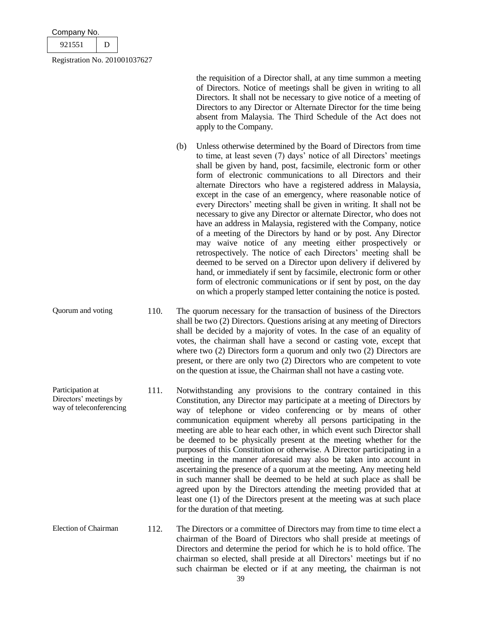| Company No.                   |   |  |
|-------------------------------|---|--|
| 921551                        | Ð |  |
| Registration No. 201001037627 |   |  |

the requisition of a Director shall, at any time summon a meeting of Directors. Notice of meetings shall be given in writing to all Directors. It shall not be necessary to give notice of a meeting of Directors to any Director or Alternate Director for the time being absent from Malaysia. The Third Schedule of the Act does not apply to the Company.

(b) Unless otherwise determined by the Board of Directors from time to time, at least seven (7) days' notice of all Directors' meetings shall be given by hand, post, facsimile, electronic form or other form of electronic communications to all Directors and their alternate Directors who have a registered address in Malaysia, except in the case of an emergency, where reasonable notice of every Directors' meeting shall be given in writing. It shall not be necessary to give any Director or alternate Director, who does not have an address in Malaysia, registered with the Company, notice of a meeting of the Directors by hand or by post. Any Director may waive notice of any meeting either prospectively or retrospectively. The notice of each Directors' meeting shall be deemed to be served on a Director upon delivery if delivered by hand, or immediately if sent by facsimile, electronic form or other form of electronic communications or if sent by post, on the day on which a properly stamped letter containing the notice is posted.

Quorum and voting 110. The quorum necessary for the transaction of business of the Directors shall be two (2) Directors. Questions arising at any meeting of Directors shall be decided by a majority of votes. In the case of an equality of votes, the chairman shall have a second or casting vote, except that where two (2) Directors form a quorum and only two (2) Directors are present, or there are only two (2) Directors who are competent to vote on the question at issue, the Chairman shall not have a casting vote.

- Participation at Directors' meetings by way of teleconferencing 111. Notwithstanding any provisions to the contrary contained in this Constitution, any Director may participate at a meeting of Directors by way of telephone or video conferencing or by means of other communication equipment whereby all persons participating in the meeting are able to hear each other, in which event such Director shall be deemed to be physically present at the meeting whether for the purposes of this Constitution or otherwise. A Director participating in a meeting in the manner aforesaid may also be taken into account in ascertaining the presence of a quorum at the meeting. Any meeting held in such manner shall be deemed to be held at such place as shall be agreed upon by the Directors attending the meeting provided that at least one (1) of the Directors present at the meeting was at such place for the duration of that meeting.
- Election of Chairman 112. The Directors or a committee of Directors may from time to time elect a chairman of the Board of Directors who shall preside at meetings of Directors and determine the period for which he is to hold office. The chairman so elected, shall preside at all Directors' meetings but if no such chairman be elected or if at any meeting, the chairman is not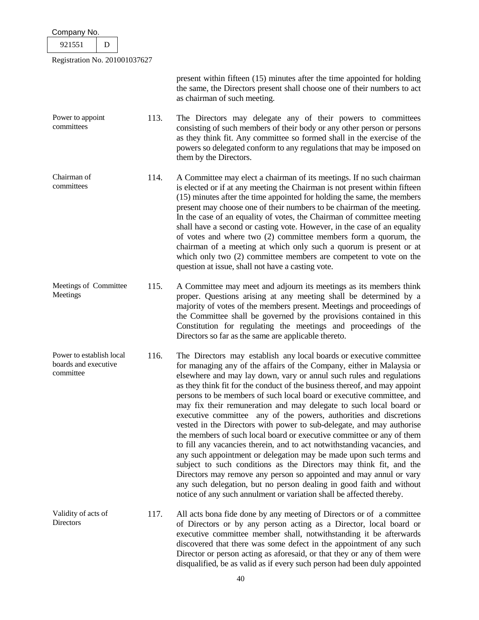| Company No.                                                   |                               |                                                                                                                                                                                                                                                                                                                                                                                                                                                                                                                                                                                                                                                                                                                                                                                                                                                                                                                                                                                                                                                                                                                         |  |  |  |  |  |
|---------------------------------------------------------------|-------------------------------|-------------------------------------------------------------------------------------------------------------------------------------------------------------------------------------------------------------------------------------------------------------------------------------------------------------------------------------------------------------------------------------------------------------------------------------------------------------------------------------------------------------------------------------------------------------------------------------------------------------------------------------------------------------------------------------------------------------------------------------------------------------------------------------------------------------------------------------------------------------------------------------------------------------------------------------------------------------------------------------------------------------------------------------------------------------------------------------------------------------------------|--|--|--|--|--|
| 921551<br>D                                                   |                               |                                                                                                                                                                                                                                                                                                                                                                                                                                                                                                                                                                                                                                                                                                                                                                                                                                                                                                                                                                                                                                                                                                                         |  |  |  |  |  |
|                                                               | Registration No. 201001037627 |                                                                                                                                                                                                                                                                                                                                                                                                                                                                                                                                                                                                                                                                                                                                                                                                                                                                                                                                                                                                                                                                                                                         |  |  |  |  |  |
|                                                               |                               | present within fifteen (15) minutes after the time appointed for holding<br>the same, the Directors present shall choose one of their numbers to act<br>as chairman of such meeting.                                                                                                                                                                                                                                                                                                                                                                                                                                                                                                                                                                                                                                                                                                                                                                                                                                                                                                                                    |  |  |  |  |  |
| Power to appoint<br>committees                                | 113.                          | The Directors may delegate any of their powers to committees<br>consisting of such members of their body or any other person or persons<br>as they think fit. Any committee so formed shall in the exercise of the<br>powers so delegated conform to any regulations that may be imposed on<br>them by the Directors.                                                                                                                                                                                                                                                                                                                                                                                                                                                                                                                                                                                                                                                                                                                                                                                                   |  |  |  |  |  |
| Chairman of<br>committees                                     | 114.                          | A Committee may elect a chairman of its meetings. If no such chairman<br>is elected or if at any meeting the Chairman is not present within fifteen<br>(15) minutes after the time appointed for holding the same, the members<br>present may choose one of their numbers to be chairman of the meeting.<br>In the case of an equality of votes, the Chairman of committee meeting<br>shall have a second or casting vote. However, in the case of an equality<br>of votes and where two $(2)$ committee members form a quorum, the<br>chairman of a meeting at which only such a quorum is present or at<br>which only two $(2)$ committee members are competent to vote on the<br>question at issue, shall not have a casting vote.                                                                                                                                                                                                                                                                                                                                                                                   |  |  |  |  |  |
| Meetings of Committee<br>Meetings                             | 115.                          | A Committee may meet and adjourn its meetings as its members think<br>proper. Questions arising at any meeting shall be determined by a<br>majority of votes of the members present. Meetings and proceedings of<br>the Committee shall be governed by the provisions contained in this<br>Constitution for regulating the meetings and proceedings of the<br>Directors so far as the same are applicable thereto.                                                                                                                                                                                                                                                                                                                                                                                                                                                                                                                                                                                                                                                                                                      |  |  |  |  |  |
| Power to establish local<br>boards and executive<br>committee | 116.                          | The Directors may establish any local boards or executive committee<br>for managing any of the affairs of the Company, either in Malaysia or<br>elsewhere and may lay down, vary or annul such rules and regulations<br>as they think fit for the conduct of the business thereof, and may appoint<br>persons to be members of such local board or executive committee, and<br>may fix their remuneration and may delegate to such local board or<br>executive committee any of the powers, authorities and discretions<br>vested in the Directors with power to sub-delegate, and may authorise<br>the members of such local board or executive committee or any of them<br>to fill any vacancies therein, and to act notwithstanding vacancies, and<br>any such appointment or delegation may be made upon such terms and<br>subject to such conditions as the Directors may think fit, and the<br>Directors may remove any person so appointed and may annul or vary<br>any such delegation, but no person dealing in good faith and without<br>notice of any such annulment or variation shall be affected thereby. |  |  |  |  |  |
| Validity of acts of<br>Directors                              | 117.                          | All acts bona fide done by any meeting of Directors or of a committee<br>of Directors or by any person acting as a Director, local board or<br>executive committee member shall, notwithstanding it be afterwards<br>discovered that there was some defect in the appointment of any such<br>Director or person acting as aforesaid, or that they or any of them were                                                                                                                                                                                                                                                                                                                                                                                                                                                                                                                                                                                                                                                                                                                                                   |  |  |  |  |  |

disqualified, be as valid as if every such person had been duly appointed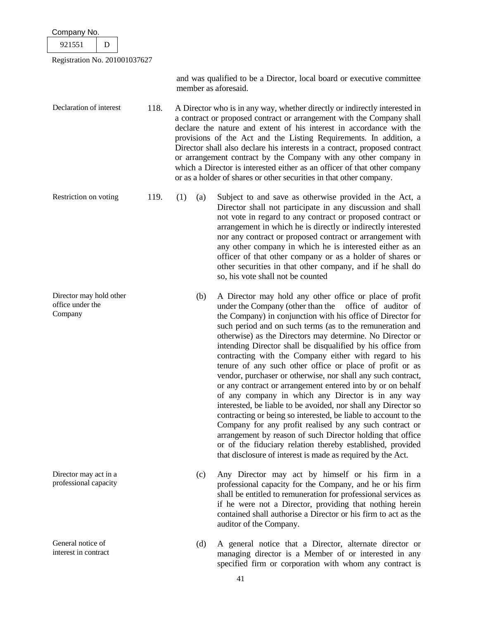| Company No.                                            |      |            |                                                                                                                                                                                                                                                                                                                                                                                                                                                                                                                                                                                                                                                                                                                                                                                                                                                                                                                                                                                                                                                                                    |
|--------------------------------------------------------|------|------------|------------------------------------------------------------------------------------------------------------------------------------------------------------------------------------------------------------------------------------------------------------------------------------------------------------------------------------------------------------------------------------------------------------------------------------------------------------------------------------------------------------------------------------------------------------------------------------------------------------------------------------------------------------------------------------------------------------------------------------------------------------------------------------------------------------------------------------------------------------------------------------------------------------------------------------------------------------------------------------------------------------------------------------------------------------------------------------|
| 921551<br>D                                            |      |            |                                                                                                                                                                                                                                                                                                                                                                                                                                                                                                                                                                                                                                                                                                                                                                                                                                                                                                                                                                                                                                                                                    |
| Registration No. 201001037627                          |      |            |                                                                                                                                                                                                                                                                                                                                                                                                                                                                                                                                                                                                                                                                                                                                                                                                                                                                                                                                                                                                                                                                                    |
|                                                        |      |            | and was qualified to be a Director, local board or executive committee<br>member as aforesaid.                                                                                                                                                                                                                                                                                                                                                                                                                                                                                                                                                                                                                                                                                                                                                                                                                                                                                                                                                                                     |
| Declaration of interest                                | 118. |            | A Director who is in any way, whether directly or indirectly interested in<br>a contract or proposed contract or arrangement with the Company shall<br>declare the nature and extent of his interest in accordance with the<br>provisions of the Act and the Listing Requirements. In addition, a<br>Director shall also declare his interests in a contract, proposed contract<br>or arrangement contract by the Company with any other company in<br>which a Director is interested either as an officer of that other company<br>or as a holder of shares or other securities in that other company.                                                                                                                                                                                                                                                                                                                                                                                                                                                                            |
| Restriction on voting                                  | 119. | (1)<br>(a) | Subject to and save as otherwise provided in the Act, a<br>Director shall not participate in any discussion and shall<br>not vote in regard to any contract or proposed contract or<br>arrangement in which he is directly or indirectly interested<br>nor any contract or proposed contract or arrangement with<br>any other company in which he is interested either as an<br>officer of that other company or as a holder of shares or<br>other securities in that other company, and if he shall do<br>so, his vote shall not be counted                                                                                                                                                                                                                                                                                                                                                                                                                                                                                                                                       |
| Director may hold other<br>office under the<br>Company |      | (b)        | A Director may hold any other office or place of profit<br>under the Company (other than the<br>office of auditor of<br>the Company) in conjunction with his office of Director for<br>such period and on such terms (as to the remuneration and<br>otherwise) as the Directors may determine. No Director or<br>intending Director shall be disqualified by his office from<br>contracting with the Company either with regard to his<br>tenure of any such other office or place of profit or as<br>vendor, purchaser or otherwise, nor shall any such contract,<br>or any contract or arrangement entered into by or on behalf<br>of any company in which any Director is in any way<br>interested, be liable to be avoided, nor shall any Director so<br>contracting or being so interested, be liable to account to the<br>Company for any profit realised by any such contract or<br>arrangement by reason of such Director holding that office<br>or of the fiduciary relation thereby established, provided<br>that disclosure of interest is made as required by the Act. |
| Director may act in a<br>professional capacity         |      | (c)        | Any Director may act by himself or his firm in a<br>professional capacity for the Company, and he or his firm<br>shall be entitled to remuneration for professional services as<br>if he were not a Director, providing that nothing herein<br>contained shall authorise a Director or his firm to act as the<br>auditor of the Company.                                                                                                                                                                                                                                                                                                                                                                                                                                                                                                                                                                                                                                                                                                                                           |
| General notice of<br>interest in contract              |      | (d)        | A general notice that a Director, alternate director or<br>managing director is a Member of or interested in any<br>specified firm or corporation with whom any contract is                                                                                                                                                                                                                                                                                                                                                                                                                                                                                                                                                                                                                                                                                                                                                                                                                                                                                                        |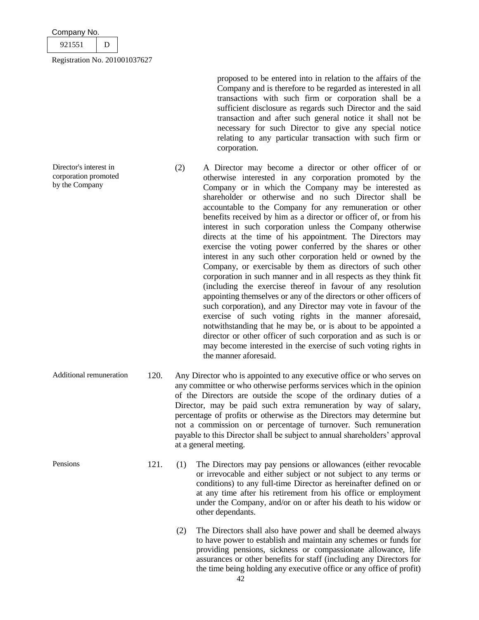| Company No. |  |
|-------------|--|
|             |  |

| –<br>$\sim$ |  |
|-------------|--|
|             |  |

Director's interest in corporation promoted by the Company

proposed to be entered into in relation to the affairs of the Company and is therefore to be regarded as interested in all transactions with such firm or corporation shall be a sufficient disclosure as regards such Director and the said transaction and after such general notice it shall not be necessary for such Director to give any special notice relating to any particular transaction with such firm or corporation.

- (2) A Director may become a director or other officer of or otherwise interested in any corporation promoted by the Company or in which the Company may be interested as shareholder or otherwise and no such Director shall be accountable to the Company for any remuneration or other benefits received by him as a director or officer of, or from his interest in such corporation unless the Company otherwise directs at the time of his appointment. The Directors may exercise the voting power conferred by the shares or other interest in any such other corporation held or owned by the Company, or exercisable by them as directors of such other corporation in such manner and in all respects as they think fit (including the exercise thereof in favour of any resolution appointing themselves or any of the directors or other officers of such corporation), and any Director may vote in favour of the exercise of such voting rights in the manner aforesaid, notwithstanding that he may be, or is about to be appointed a director or other officer of such corporation and as such is or may become interested in the exercise of such voting rights in the manner aforesaid.
- Additional remuneration 120. Any Director who is appointed to any executive office or who serves on any committee or who otherwise performs services which in the opinion of the Directors are outside the scope of the ordinary duties of a Director, may be paid such extra remuneration by way of salary, percentage of profits or otherwise as the Directors may determine but not a commission on or percentage of turnover. Such remuneration payable to this Director shall be subject to annual shareholders' approval at a general meeting.
- Pensions 121. (1) The Directors may pay pensions or allowances (either revocable or irrevocable and either subject or not subject to any terms or conditions) to any full-time Director as hereinafter defined on or at any time after his retirement from his office or employment under the Company, and/or on or after his death to his widow or other dependants.
	- (2) The Directors shall also have power and shall be deemed always to have power to establish and maintain any schemes or funds for providing pensions, sickness or compassionate allowance, life assurances or other benefits for staff (including any Directors for the time being holding any executive office or any office of profit)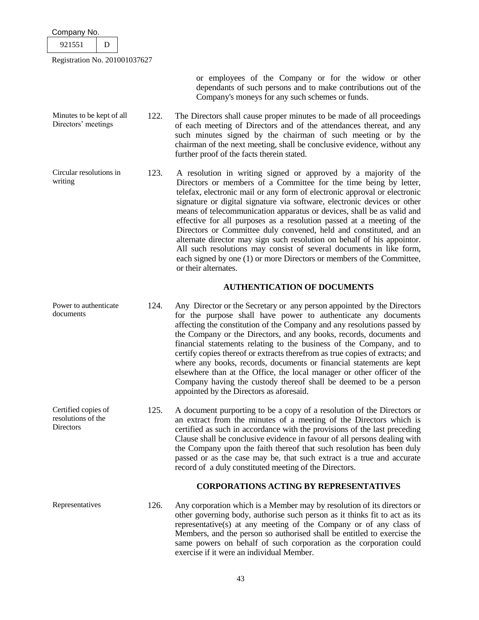| Company No.                   |   |      |  |
|-------------------------------|---|------|--|
| 921551                        | D |      |  |
| Registration No. 201001037627 |   |      |  |
|                               |   |      |  |
|                               |   |      |  |
|                               |   |      |  |
| Minutes to be kept of all     |   | 122. |  |
| Directors' meetings           |   |      |  |

documents

resolutions of the

**Directors** 

- or employees of the Company or for the widow or other dependants of such persons and to make contributions out of the Company's moneys for any such schemes or funds.
- The Directors shall cause proper minutes to be made of all proceedings of each meeting of Directors and of the attendances thereat, and any such minutes signed by the chairman of such meeting or by the chairman of the next meeting, shall be conclusive evidence, without any further proof of the facts therein stated.
- Circular resolutions in writing 123. A resolution in writing signed or approved by a majority of the Directors or members of a Committee for the time being by letter, telefax, electronic mail or any form of electronic approval or electronic signature or digital signature via software, electronic devices or other means of telecommunication apparatus or devices, shall be as valid and effective for all purposes as a resolution passed at a meeting of the Directors or Committee duly convened, held and constituted, and an alternate director may sign such resolution on behalf of his appointor. All such resolutions may consist of several documents in like form, each signed by one (1) or more Directors or members of the Committee, or their alternates.

### **AUTHENTICATION OF DOCUMENTS**

- Power to authenticate 124. Any Director or the Secretary or any person appointed by the Directors for the purpose shall have power to authenticate any documents affecting the constitution of the Company and any resolutions passed by the Company or the Directors, and any books, records, documents and financial statements relating to the business of the Company, and to certify copies thereof or extracts therefrom as true copies of extracts; and where any books, records, documents or financial statements are kept elsewhere than at the Office, the local manager or other officer of the Company having the custody thereof shall be deemed to be a person appointed by the Directors as aforesaid.
- Certified copies of 125. A document purporting to be a copy of a resolution of the Directors or an extract from the minutes of a meeting of the Directors which is certified as such in accordance with the provisions of the last preceding Clause shall be conclusive evidence in favour of all persons dealing with the Company upon the faith thereof that such resolution has been duly passed or as the case may be, that such extract is a true and accurate record of a duly constituted meeting of the Directors.

# **CORPORATIONS ACTING BY REPRESENTATIVES**

Representatives 126. Any corporation which is a Member may by resolution of its directors or other governing body, authorise such person as it thinks fit to act as its representative(s) at any meeting of the Company or of any class of Members, and the person so authorised shall be entitled to exercise the same powers on behalf of such corporation as the corporation could exercise if it were an individual Member.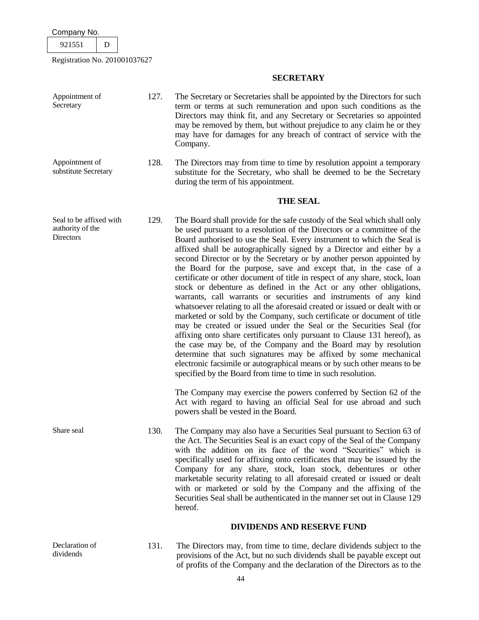Registration No. 201001037627

# **SECRETARY**

| Appointment of<br>Secretary                              | 127. | The Secretary or Secretaries shall be appointed by the Directors for such<br>term or terms at such remuneration and upon such conditions as the<br>Directors may think fit, and any Secretary or Secretaries so appointed<br>may be removed by them, but without prejudice to any claim he or they<br>may have for damages for any breach of contract of service with the<br>Company.                                                                                                                                                                                                                                                                                                                                                                                                                                                                                                                                                                                                                                                                                                                                                                                                                                                                                           |
|----------------------------------------------------------|------|---------------------------------------------------------------------------------------------------------------------------------------------------------------------------------------------------------------------------------------------------------------------------------------------------------------------------------------------------------------------------------------------------------------------------------------------------------------------------------------------------------------------------------------------------------------------------------------------------------------------------------------------------------------------------------------------------------------------------------------------------------------------------------------------------------------------------------------------------------------------------------------------------------------------------------------------------------------------------------------------------------------------------------------------------------------------------------------------------------------------------------------------------------------------------------------------------------------------------------------------------------------------------------|
| Appointment of<br>substitute Secretary                   | 128. | The Directors may from time to time by resolution appoint a temporary<br>substitute for the Secretary, who shall be deemed to be the Secretary<br>during the term of his appointment.                                                                                                                                                                                                                                                                                                                                                                                                                                                                                                                                                                                                                                                                                                                                                                                                                                                                                                                                                                                                                                                                                           |
|                                                          |      | <b>THE SEAL</b>                                                                                                                                                                                                                                                                                                                                                                                                                                                                                                                                                                                                                                                                                                                                                                                                                                                                                                                                                                                                                                                                                                                                                                                                                                                                 |
| Seal to be affixed with<br>authority of the<br>Directors | 129. | The Board shall provide for the safe custody of the Seal which shall only<br>be used pursuant to a resolution of the Directors or a committee of the<br>Board authorised to use the Seal. Every instrument to which the Seal is<br>affixed shall be autographically signed by a Director and either by a<br>second Director or by the Secretary or by another person appointed by<br>the Board for the purpose, save and except that, in the case of a<br>certificate or other document of title in respect of any share, stock, loan<br>stock or debenture as defined in the Act or any other obligations,<br>warrants, call warrants or securities and instruments of any kind<br>whatsoever relating to all the aforesaid created or issued or dealt with or<br>marketed or sold by the Company, such certificate or document of title<br>may be created or issued under the Seal or the Securities Seal (for<br>affixing onto share certificates only pursuant to Clause 131 hereof), as<br>the case may be, of the Company and the Board may by resolution<br>determine that such signatures may be affixed by some mechanical<br>electronic facsimile or autographical means or by such other means to be<br>specified by the Board from time to time in such resolution. |
|                                                          |      | The Company may exercise the powers conferred by Section 62 of the<br>Act with regard to having an official Seal for use abroad and such<br>powers shall be vested in the Board.                                                                                                                                                                                                                                                                                                                                                                                                                                                                                                                                                                                                                                                                                                                                                                                                                                                                                                                                                                                                                                                                                                |
| Share seal                                               | 130. | The Company may also have a Securities Seal pursuant to Section 63 of<br>the Act. The Securities Seal is an exact copy of the Seal of the Company<br>with the addition on its face of the word "Securities" which is<br>specifically used for affixing onto certificates that may be issued by the<br>Company for any share, stock, loan stock, debentures or other<br>marketable security relating to all aforesaid created or issued or dealt<br>with or marketed or sold by the Company and the affixing of the<br>Securities Seal shall be authenticated in the manner set out in Clause 129<br>hereof.                                                                                                                                                                                                                                                                                                                                                                                                                                                                                                                                                                                                                                                                     |
|                                                          |      | <b>DIVIDENDS AND RESERVE FUND</b>                                                                                                                                                                                                                                                                                                                                                                                                                                                                                                                                                                                                                                                                                                                                                                                                                                                                                                                                                                                                                                                                                                                                                                                                                                               |

- Declaration of dividends
- 131. The Directors may, from time to time, declare dividends subject to the provisions of the Act, but no such dividends shall be payable except out of profits of the Company and the declaration of the Directors as to the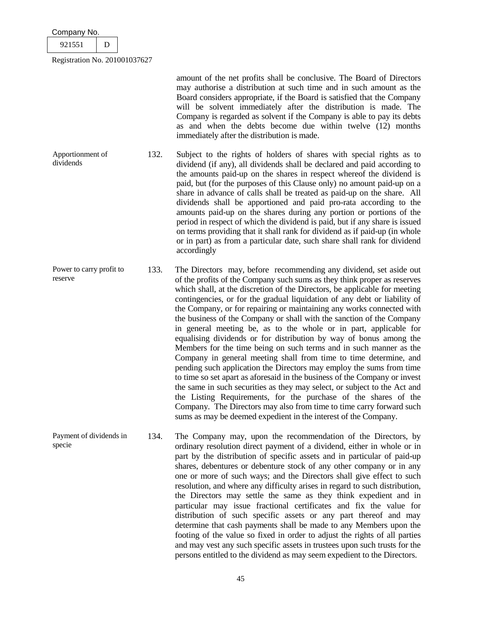| Company No.                   |  |
|-------------------------------|--|
| 921551                        |  |
| Registration No. 201001037627 |  |

amount of the net profits shall be conclusive. The Board of Directors may authorise a distribution at such time and in such amount as the Board considers appropriate, if the Board is satisfied that the Company will be solvent immediately after the distribution is made. The Company is regarded as solvent if the Company is able to pay its debts as and when the debts become due within twelve (12) months immediately after the distribution is made.

Apportionment of dividends 132. Subject to the rights of holders of shares with special rights as to dividend (if any), all dividends shall be declared and paid according to the amounts paid-up on the shares in respect whereof the dividend is paid, but (for the purposes of this Clause only) no amount paid-up on a share in advance of calls shall be treated as paid-up on the share. All dividends shall be apportioned and paid pro-rata according to the amounts paid-up on the shares during any portion or portions of the period in respect of which the dividend is paid, but if any share is issued on terms providing that it shall rank for dividend as if paid-up (in whole or in part) as from a particular date, such share shall rank for dividend accordingly

Power to carry profit to reserve 133. The Directors may, before recommending any dividend, set aside out of the profits of the Company such sums as they think proper as reserves which shall, at the discretion of the Directors, be applicable for meeting contingencies, or for the gradual liquidation of any debt or liability of the Company, or for repairing or maintaining any works connected with the business of the Company or shall with the sanction of the Company in general meeting be, as to the whole or in part, applicable for equalising dividends or for distribution by way of bonus among the Members for the time being on such terms and in such manner as the Company in general meeting shall from time to time determine, and pending such application the Directors may employ the sums from time to time so set apart as aforesaid in the business of the Company or invest the same in such securities as they may select, or subject to the Act and the Listing Requirements, for the purchase of the shares of the Company. The Directors may also from time to time carry forward such sums as may be deemed expedient in the interest of the Company.

Payment of dividends in specie 134. The Company may, upon the recommendation of the Directors, by ordinary resolution direct payment of a dividend, either in whole or in part by the distribution of specific assets and in particular of paid-up shares, debentures or debenture stock of any other company or in any one or more of such ways; and the Directors shall give effect to such resolution, and where any difficulty arises in regard to such distribution, the Directors may settle the same as they think expedient and in particular may issue fractional certificates and fix the value for distribution of such specific assets or any part thereof and may determine that cash payments shall be made to any Members upon the footing of the value so fixed in order to adjust the rights of all parties and may vest any such specific assets in trustees upon such trusts for the persons entitled to the dividend as may seem expedient to the Directors.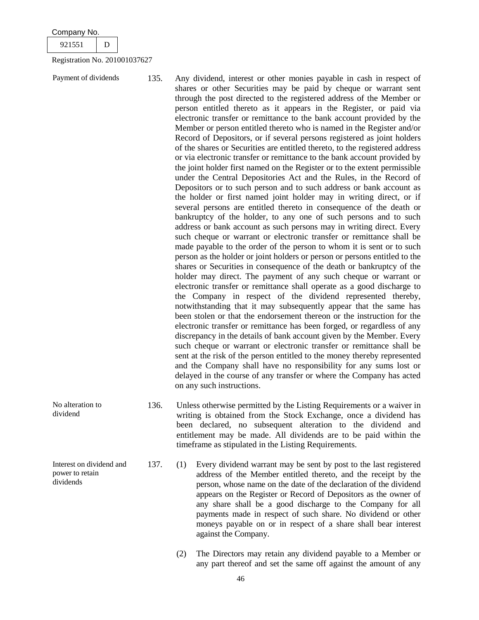|  |  | Company No. |  |
|--|--|-------------|--|
|--|--|-------------|--|

No alteration to dividend

power to retain dividends

Interest on dividend and

921551 D

Registration No. 201001037627

Payment of dividends 135. Any dividend, interest or other monies payable in cash in respect of shares or other Securities may be paid by cheque or warrant sent through the post directed to the registered address of the Member or person entitled thereto as it appears in the Register, or paid via electronic transfer or remittance to the bank account provided by the Member or person entitled thereto who is named in the Register and/or Record of Depositors, or if several persons registered as joint holders of the shares or Securities are entitled thereto, to the registered address or via electronic transfer or remittance to the bank account provided by the joint holder first named on the Register or to the extent permissible under the Central Depositories Act and the Rules, in the Record of Depositors or to such person and to such address or bank account as the holder or first named joint holder may in writing direct, or if several persons are entitled thereto in consequence of the death or bankruptcy of the holder, to any one of such persons and to such address or bank account as such persons may in writing direct. Every such cheque or warrant or electronic transfer or remittance shall be made payable to the order of the person to whom it is sent or to such person as the holder or joint holders or person or persons entitled to the shares or Securities in consequence of the death or bankruptcy of the holder may direct. The payment of any such cheque or warrant or electronic transfer or remittance shall operate as a good discharge to the Company in respect of the dividend represented thereby, notwithstanding that it may subsequently appear that the same has been stolen or that the endorsement thereon or the instruction for the electronic transfer or remittance has been forged, or regardless of any discrepancy in the details of bank account given by the Member. Every such cheque or warrant or electronic transfer or remittance shall be sent at the risk of the person entitled to the money thereby represented and the Company shall have no responsibility for any sums lost or delayed in the course of any transfer or where the Company has acted on any such instructions.

- 136. Unless otherwise permitted by the Listing Requirements or a waiver in writing is obtained from the Stock Exchange, once a dividend has been declared, no subsequent alteration to the dividend and entitlement may be made. All dividends are to be paid within the timeframe as stipulated in the Listing Requirements.
	- 137. (1) Every dividend warrant may be sent by post to the last registered address of the Member entitled thereto, and the receipt by the person, whose name on the date of the declaration of the dividend appears on the Register or Record of Depositors as the owner of any share shall be a good discharge to the Company for all payments made in respect of such share. No dividend or other moneys payable on or in respect of a share shall bear interest against the Company.
		- (2) The Directors may retain any dividend payable to a Member or any part thereof and set the same off against the amount of any
			- 46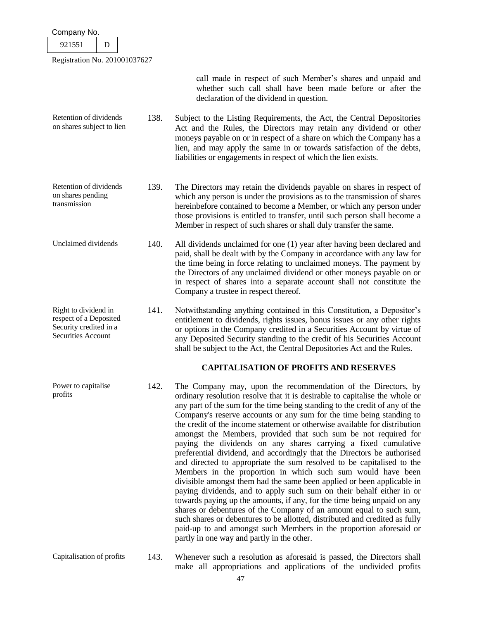| oompany no.                                                                                    |      |                                                                                                                                                                                                                                                                                                                                                                                                                                                                                                                                                                                                                                                                                                                                                                                                                                                                                                                                                                                                                                                                                                                                                                                                                                                  |
|------------------------------------------------------------------------------------------------|------|--------------------------------------------------------------------------------------------------------------------------------------------------------------------------------------------------------------------------------------------------------------------------------------------------------------------------------------------------------------------------------------------------------------------------------------------------------------------------------------------------------------------------------------------------------------------------------------------------------------------------------------------------------------------------------------------------------------------------------------------------------------------------------------------------------------------------------------------------------------------------------------------------------------------------------------------------------------------------------------------------------------------------------------------------------------------------------------------------------------------------------------------------------------------------------------------------------------------------------------------------|
| 921551<br>D                                                                                    |      |                                                                                                                                                                                                                                                                                                                                                                                                                                                                                                                                                                                                                                                                                                                                                                                                                                                                                                                                                                                                                                                                                                                                                                                                                                                  |
| Registration No. 201001037627                                                                  |      |                                                                                                                                                                                                                                                                                                                                                                                                                                                                                                                                                                                                                                                                                                                                                                                                                                                                                                                                                                                                                                                                                                                                                                                                                                                  |
|                                                                                                |      | call made in respect of such Member's shares and unpaid and<br>whether such call shall have been made before or after the<br>declaration of the dividend in question.                                                                                                                                                                                                                                                                                                                                                                                                                                                                                                                                                                                                                                                                                                                                                                                                                                                                                                                                                                                                                                                                            |
| Retention of dividends<br>on shares subject to lien                                            | 138. | Subject to the Listing Requirements, the Act, the Central Depositories<br>Act and the Rules, the Directors may retain any dividend or other<br>moneys payable on or in respect of a share on which the Company has a<br>lien, and may apply the same in or towards satisfaction of the debts,<br>liabilities or engagements in respect of which the lien exists.                                                                                                                                                                                                                                                                                                                                                                                                                                                                                                                                                                                                                                                                                                                                                                                                                                                                                 |
| Retention of dividends<br>on shares pending<br>transmission                                    | 139. | The Directors may retain the dividends payable on shares in respect of<br>which any person is under the provisions as to the transmission of shares<br>hereinbefore contained to become a Member, or which any person under<br>those provisions is entitled to transfer, until such person shall become a<br>Member in respect of such shares or shall duly transfer the same.                                                                                                                                                                                                                                                                                                                                                                                                                                                                                                                                                                                                                                                                                                                                                                                                                                                                   |
| Unclaimed dividends                                                                            | 140. | All dividends unclaimed for one (1) year after having been declared and<br>paid, shall be dealt with by the Company in accordance with any law for<br>the time being in force relating to unclaimed moneys. The payment by<br>the Directors of any unclaimed dividend or other moneys payable on or<br>in respect of shares into a separate account shall not constitute the<br>Company a trustee in respect thereof.                                                                                                                                                                                                                                                                                                                                                                                                                                                                                                                                                                                                                                                                                                                                                                                                                            |
| Right to dividend in<br>respect of a Deposited<br>Security credited in a<br>Securities Account | 141. | Notwithstanding anything contained in this Constitution, a Depositor's<br>entitlement to dividends, rights issues, bonus issues or any other rights<br>or options in the Company credited in a Securities Account by virtue of<br>any Deposited Security standing to the credit of his Securities Account<br>shall be subject to the Act, the Central Depositories Act and the Rules.                                                                                                                                                                                                                                                                                                                                                                                                                                                                                                                                                                                                                                                                                                                                                                                                                                                            |
|                                                                                                |      | <b>CAPITALISATION OF PROFITS AND RESERVES</b>                                                                                                                                                                                                                                                                                                                                                                                                                                                                                                                                                                                                                                                                                                                                                                                                                                                                                                                                                                                                                                                                                                                                                                                                    |
| Power to capitalise<br>profits                                                                 | 142. | The Company may, upon the recommendation of the Directors, by<br>ordinary resolution resolve that it is desirable to capitalise the whole or<br>any part of the sum for the time being standing to the credit of any of the<br>Company's reserve accounts or any sum for the time being standing to<br>the credit of the income statement or otherwise available for distribution<br>amongst the Members, provided that such sum be not required for<br>paying the dividends on any shares carrying a fixed cumulative<br>preferential dividend, and accordingly that the Directors be authorised<br>and directed to appropriate the sum resolved to be capitalised to the<br>Members in the proportion in which such sum would have been<br>divisible amongst them had the same been applied or been applicable in<br>paying dividends, and to apply such sum on their behalf either in or<br>towards paying up the amounts, if any, for the time being unpaid on any<br>shares or debentures of the Company of an amount equal to such sum,<br>such shares or debentures to be allotted, distributed and credited as fully<br>paid-up to and amongst such Members in the proportion aforesaid or<br>partly in one way and partly in the other. |
| Capitalisation of profits                                                                      | 143. | Whenever such a resolution as aforesaid is passed, the Directors shall                                                                                                                                                                                                                                                                                                                                                                                                                                                                                                                                                                                                                                                                                                                                                                                                                                                                                                                                                                                                                                                                                                                                                                           |

make all appropriations and applications of the undivided profits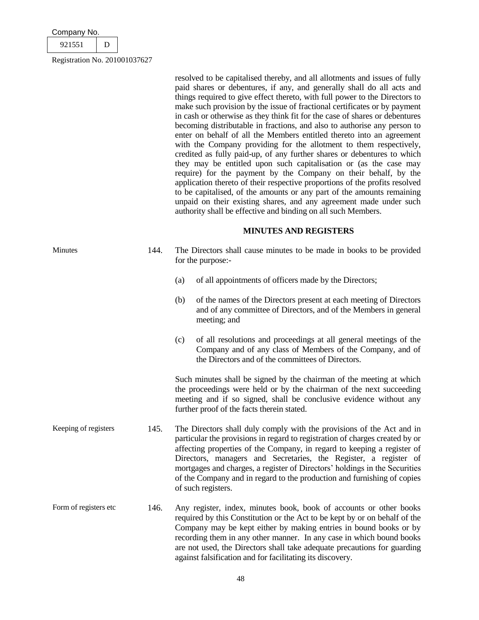| Company No. |           |
|-------------|-----------|
| 921551      |           |
|             | 0.0100100 |

resolved to be capitalised thereby, and all allotments and issues of fully paid shares or debentures, if any, and generally shall do all acts and things required to give effect thereto, with full power to the Directors to make such provision by the issue of fractional certificates or by payment in cash or otherwise as they think fit for the case of shares or debentures becoming distributable in fractions, and also to authorise any person to enter on behalf of all the Members entitled thereto into an agreement with the Company providing for the allotment to them respectively, credited as fully paid-up, of any further shares or debentures to which they may be entitled upon such capitalisation or (as the case may require) for the payment by the Company on their behalf, by the application thereto of their respective proportions of the profits resolved to be capitalised, of the amounts or any part of the amounts remaining unpaid on their existing shares, and any agreement made under such authority shall be effective and binding on all such Members.

# **MINUTES AND REGISTERS**

| Minutes | The Directors shall cause minutes to be made in books to be provided |
|---------|----------------------------------------------------------------------|
|         | for the purpose:-                                                    |

- (a) of all appointments of officers made by the Directors;
- (b) of the names of the Directors present at each meeting of Directors and of any committee of Directors, and of the Members in general meeting; and
- (c) of all resolutions and proceedings at all general meetings of the Company and of any class of Members of the Company, and of the Directors and of the committees of Directors.

Such minutes shall be signed by the chairman of the meeting at which the proceedings were held or by the chairman of the next succeeding meeting and if so signed, shall be conclusive evidence without any further proof of the facts therein stated.

- Keeping of registers 145. The Directors shall duly comply with the provisions of the Act and in particular the provisions in regard to registration of charges created by or affecting properties of the Company, in regard to keeping a register of Directors, managers and Secretaries, the Register, a register of mortgages and charges, a register of Directors' holdings in the Securities of the Company and in regard to the production and furnishing of copies of such registers.
- Form of registers etc 146. Any register, index, minutes book, book of accounts or other books required by this Constitution or the Act to be kept by or on behalf of the Company may be kept either by making entries in bound books or by recording them in any other manner. In any case in which bound books are not used, the Directors shall take adequate precautions for guarding against falsification and for facilitating its discovery.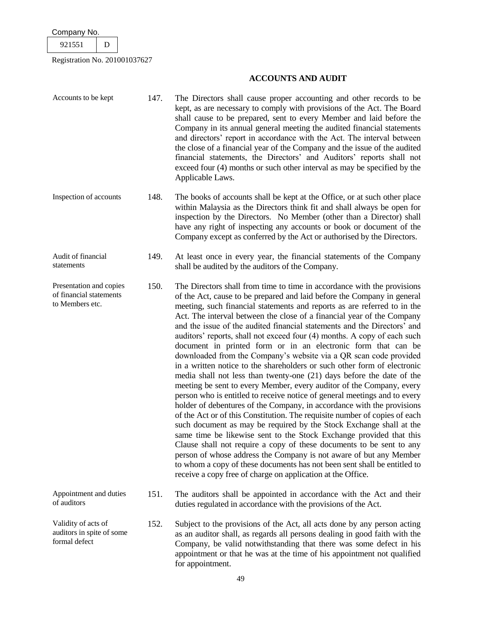Registration No. 201001037627

# **ACCOUNTS AND AUDIT**

- Accounts to be kept 147. The Directors shall cause proper accounting and other records to be kept, as are necessary to comply with provisions of the Act. The Board shall cause to be prepared, sent to every Member and laid before the Company in its annual general meeting the audited financial statements and directors' report in accordance with the Act. The interval between the close of a financial year of the Company and the issue of the audited financial statements, the Directors' and Auditors' reports shall not exceed four (4) months or such other interval as may be specified by the Applicable Laws. Inspection of accounts 148. The books of accounts shall be kept at the Office, or at such other place within Malaysia as the Directors think fit and shall always be open for inspection by the Directors. No Member (other than a Director) shall have any right of inspecting any accounts or book or document of the Company except as conferred by the Act or authorised by the Directors. Audit of financial statements 149. At least once in every year, the financial statements of the Company shall be audited by the auditors of the Company. Presentation and copies of financial statements to Members etc. 150. The Directors shall from time to time in accordance with the provisions of the Act, cause to be prepared and laid before the Company in general meeting, such financial statements and reports as are referred to in the Act. The interval between the close of a financial year of the Company and the issue of the audited financial statements and the Directors' and auditors' reports, shall not exceed four (4) months. A copy of each such document in printed form or in an electronic form that can be downloaded from the Company's website via a QR scan code provided in a written notice to the shareholders or such other form of electronic media shall not less than twenty-one (21) days before the date of the meeting be sent to every Member, every auditor of the Company, every person who is entitled to receive notice of general meetings and to every holder of debentures of the Company, in accordance with the provisions of the Act or of this Constitution. The requisite number of copies of each such document as may be required by the Stock Exchange shall at the same time be likewise sent to the Stock Exchange provided that this Clause shall not require a copy of these documents to be sent to any person of whose address the Company is not aware of but any Member to whom a copy of these documents has not been sent shall be entitled to receive a copy free of charge on application at the Office. Appointment and duties of auditors 151. The auditors shall be appointed in accordance with the Act and their duties regulated in accordance with the provisions of the Act. Validity of acts of auditors in spite of some formal defect 152. Subject to the provisions of the Act, all acts done by any person acting as an auditor shall, as regards all persons dealing in good faith with the
	- Company, be valid notwithstanding that there was some defect in his appointment or that he was at the time of his appointment not qualified for appointment.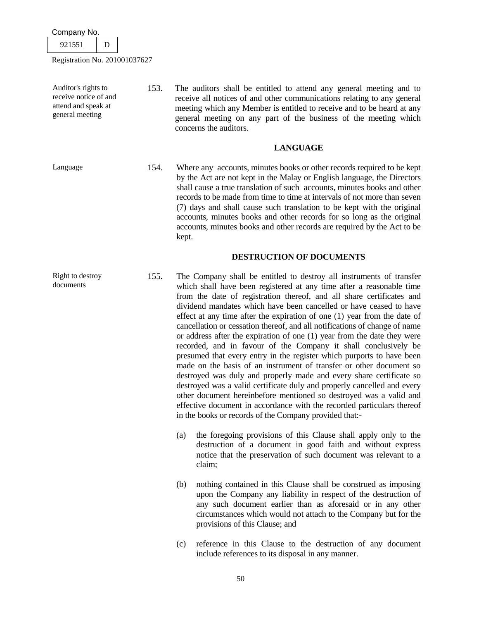Company No. 921551 D

Registration No. 201001037627

Auditor's rights to receive notice of and attend and speak at general meeting 153. The auditors shall be entitled to attend any general meeting and to receive all notices of and other communications relating to any general meeting which any Member is entitled to receive and to be heard at any general meeting on any part of the business of the meeting which concerns the auditors.

# **LANGUAGE**

Language 154. Where any accounts, minutes books or other records required to be kept by the Act are not kept in the Malay or English language, the Directors shall cause a true translation of such accounts, minutes books and other records to be made from time to time at intervals of not more than seven (7) days and shall cause such translation to be kept with the original accounts, minutes books and other records for so long as the original accounts, minutes books and other records are required by the Act to be kept.

# **DESTRUCTION OF DOCUMENTS**

- 155. The Company shall be entitled to destroy all instruments of transfer which shall have been registered at any time after a reasonable time from the date of registration thereof, and all share certificates and dividend mandates which have been cancelled or have ceased to have effect at any time after the expiration of one (1) year from the date of cancellation or cessation thereof, and all notifications of change of name or address after the expiration of one (1) year from the date they were recorded, and in favour of the Company it shall conclusively be presumed that every entry in the register which purports to have been made on the basis of an instrument of transfer or other document so destroyed was duly and properly made and every share certificate so destroyed was a valid certificate duly and properly cancelled and every other document hereinbefore mentioned so destroyed was a valid and effective document in accordance with the recorded particulars thereof in the books or records of the Company provided that:-
	- (a) the foregoing provisions of this Clause shall apply only to the destruction of a document in good faith and without express notice that the preservation of such document was relevant to a claim;
	- (b) nothing contained in this Clause shall be construed as imposing upon the Company any liability in respect of the destruction of any such document earlier than as aforesaid or in any other circumstances which would not attach to the Company but for the provisions of this Clause; and
	- (c) reference in this Clause to the destruction of any document include references to its disposal in any manner.

documents

Right to destroy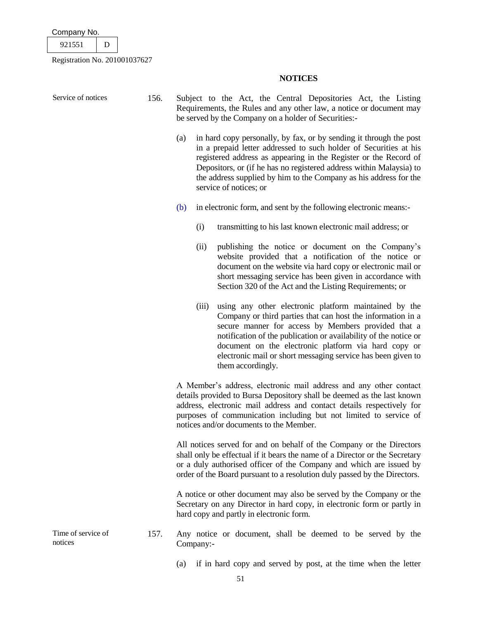| Company No. |  |  |
|-------------|--|--|
|             |  |  |

921551 D

Registration No. 201001037627

# **NOTICES**

Service of notices 156. Subject to the Act, the Central Depositories Act, the Listing Requirements, the Rules and any other law, a notice or document may be served by the Company on a holder of Securities:- (a) in hard copy personally, by fax, or by sending it through the post in a prepaid letter addressed to such holder of Securities at his registered address as appearing in the Register or the Record of Depositors, or (if he has no registered address within Malaysia) to the address supplied by him to the Company as his address for the service of notices; or (b) in electronic form, and sent by the following electronic means:- (i) transmitting to his last known electronic mail address; or (ii) publishing the notice or document on the Company's website provided that a notification of the notice or document on the website via hard copy or electronic mail or short messaging service has been given in accordance with Section 320 of the Act and the Listing Requirements; or (iii) using any other electronic platform maintained by the Company or third parties that can host the information in a secure manner for access by Members provided that a notification of the publication or availability of the notice or document on the electronic platform via hard copy or electronic mail or short messaging service has been given to them accordingly. A Member's address, electronic mail address and any other contact details provided to Bursa Depository shall be deemed as the last known address, electronic mail address and contact details respectively for purposes of communication including but not limited to service of notices and/or documents to the Member. All notices served for and on behalf of the Company or the Directors shall only be effectual if it bears the name of a Director or the Secretary or a duly authorised officer of the Company and which are issued by order of the Board pursuant to a resolution duly passed by the Directors. A notice or other document may also be served by the Company or the Secretary on any Director in hard copy, in electronic form or partly in hard copy and partly in electronic form. Time of service of notices 157. Any notice or document, shall be deemed to be served by the Company:-

(a) if in hard copy and served by post, at the time when the letter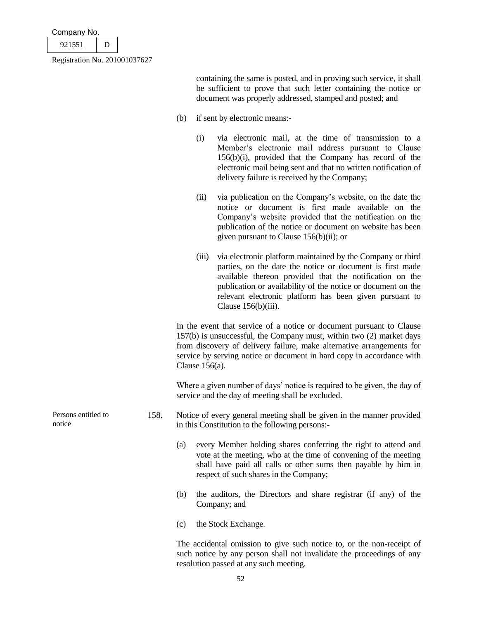| Company No.                   |   |  |
|-------------------------------|---|--|
| 921551                        | D |  |
| Registration No. 201001037627 |   |  |

containing the same is posted, and in proving such service, it shall be sufficient to prove that such letter containing the notice or document was properly addressed, stamped and posted; and

- (b) if sent by electronic means:-
	- (i) via electronic mail, at the time of transmission to a Member's electronic mail address pursuant to Clause 156(b)(i), provided that the Company has record of the electronic mail being sent and that no written notification of delivery failure is received by the Company;
	- (ii) via publication on the Company's website, on the date the notice or document is first made available on the Company's website provided that the notification on the publication of the notice or document on website has been given pursuant to Clause 156(b)(ii); or
	- (iii) via electronic platform maintained by the Company or third parties, on the date the notice or document is first made available thereon provided that the notification on the publication or availability of the notice or document on the relevant electronic platform has been given pursuant to Clause 156(b)(iii).

In the event that service of a notice or document pursuant to Clause 157(b) is unsuccessful, the Company must, within two (2) market days from discovery of delivery failure, make alternative arrangements for service by serving notice or document in hard copy in accordance with Clause 156(a).

Where a given number of days' notice is required to be given, the day of service and the day of meeting shall be excluded.

- Persons entitled to notice 158. Notice of every general meeting shall be given in the manner provided in this Constitution to the following persons:-
	- (a) every Member holding shares conferring the right to attend and vote at the meeting, who at the time of convening of the meeting shall have paid all calls or other sums then payable by him in respect of such shares in the Company;
	- (b) the auditors, the Directors and share registrar (if any) of the Company; and
	- (c) the Stock Exchange.

The accidental omission to give such notice to, or the non-receipt of such notice by any person shall not invalidate the proceedings of any resolution passed at any such meeting.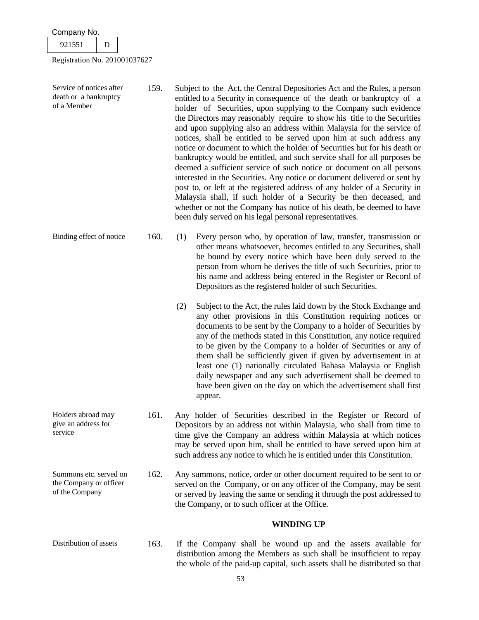| Company No.                                                        |   |  |      |                                                                                                                                                                                                                                                                                                                                                                                                                                                                                                                                                                                                                                                                                                                                                                                                                                                                                                                                                                                                                                                           |
|--------------------------------------------------------------------|---|--|------|-----------------------------------------------------------------------------------------------------------------------------------------------------------------------------------------------------------------------------------------------------------------------------------------------------------------------------------------------------------------------------------------------------------------------------------------------------------------------------------------------------------------------------------------------------------------------------------------------------------------------------------------------------------------------------------------------------------------------------------------------------------------------------------------------------------------------------------------------------------------------------------------------------------------------------------------------------------------------------------------------------------------------------------------------------------|
| 921551                                                             | D |  |      |                                                                                                                                                                                                                                                                                                                                                                                                                                                                                                                                                                                                                                                                                                                                                                                                                                                                                                                                                                                                                                                           |
| Registration No. 201001037627                                      |   |  |      |                                                                                                                                                                                                                                                                                                                                                                                                                                                                                                                                                                                                                                                                                                                                                                                                                                                                                                                                                                                                                                                           |
| Service of notices after<br>death or a bankruptcy<br>of a Member   |   |  | 159. | Subject to the Act, the Central Depositories Act and the Rules, a person<br>entitled to a Security in consequence of the death or bankruptcy of a<br>holder of Securities, upon supplying to the Company such evidence<br>the Directors may reasonably require to show his title to the Securities<br>and upon supplying also an address within Malaysia for the service of<br>notices, shall be entitled to be served upon him at such address any<br>notice or document to which the holder of Securities but for his death or<br>bankruptcy would be entitled, and such service shall for all purposes be<br>deemed a sufficient service of such notice or document on all persons<br>interested in the Securities. Any notice or document delivered or sent by<br>post to, or left at the registered address of any holder of a Security in<br>Malaysia shall, if such holder of a Security be then deceased, and<br>whether or not the Company has notice of his death, be deemed to have<br>been duly served on his legal personal representatives. |
| Binding effect of notice                                           |   |  | 160. | (1)<br>Every person who, by operation of law, transfer, transmission or<br>other means whatsoever, becomes entitled to any Securities, shall<br>be bound by every notice which have been duly served to the<br>person from whom he derives the title of such Securities, prior to<br>his name and address being entered in the Register or Record of<br>Depositors as the registered holder of such Securities.                                                                                                                                                                                                                                                                                                                                                                                                                                                                                                                                                                                                                                           |
|                                                                    |   |  |      | Subject to the Act, the rules laid down by the Stock Exchange and<br>(2)<br>any other provisions in this Constitution requiring notices or<br>documents to be sent by the Company to a holder of Securities by<br>any of the methods stated in this Constitution, any notice required<br>to be given by the Company to a holder of Securities or any of<br>them shall be sufficiently given if given by advertisement in at<br>least one (1) nationally circulated Bahasa Malaysia or English<br>daily newspaper and any such advertisement shall be deemed to<br>have been given on the day on which the advertisement shall first<br>appear.                                                                                                                                                                                                                                                                                                                                                                                                            |
| Holders abroad may<br>give an address for<br>service               |   |  | 161. | Any holder of Securities described in the Register or Record of<br>Depositors by an address not within Malaysia, who shall from time to<br>time give the Company an address within Malaysia at which notices<br>may be served upon him, shall be entitled to have served upon him at<br>such address any notice to which he is entitled under this Constitution.                                                                                                                                                                                                                                                                                                                                                                                                                                                                                                                                                                                                                                                                                          |
| Summons etc. served on<br>the Company or officer<br>of the Company |   |  | 162. | Any summons, notice, order or other document required to be sent to or<br>served on the Company, or on any officer of the Company, may be sent<br>or served by leaving the same or sending it through the post addressed to<br>the Company, or to such officer at the Office.                                                                                                                                                                                                                                                                                                                                                                                                                                                                                                                                                                                                                                                                                                                                                                             |
|                                                                    |   |  |      | <b>WINDING UP</b>                                                                                                                                                                                                                                                                                                                                                                                                                                                                                                                                                                                                                                                                                                                                                                                                                                                                                                                                                                                                                                         |
| Distribution of assets                                             |   |  | 163. | If the Company shall be wound up and the assets available for<br>distribution among the Members as such shall be insufficient to repay<br>the whole of the paid-up capital, such assets shall be distributed so that                                                                                                                                                                                                                                                                                                                                                                                                                                                                                                                                                                                                                                                                                                                                                                                                                                      |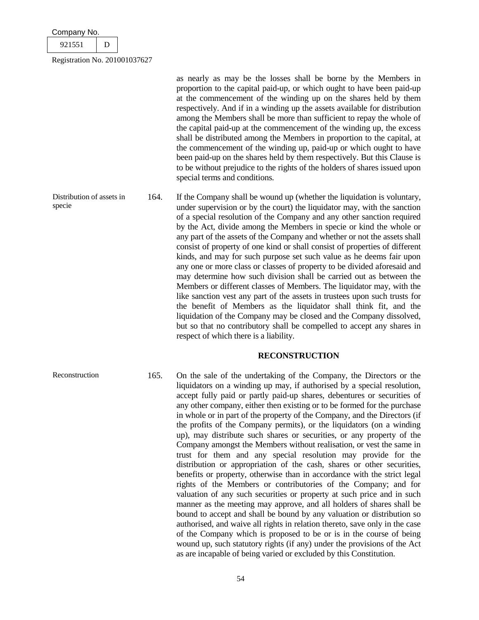| Company No.                   |  |
|-------------------------------|--|
| 921551                        |  |
| Registration No. 201001037627 |  |

as nearly as may be the losses shall be borne by the Members in proportion to the capital paid-up, or which ought to have been paid-up at the commencement of the winding up on the shares held by them respectively. And if in a winding up the assets available for distribution among the Members shall be more than sufficient to repay the whole of the capital paid-up at the commencement of the winding up, the excess shall be distributed among the Members in proportion to the capital, at the commencement of the winding up, paid-up or which ought to have been paid-up on the shares held by them respectively. But this Clause is to be without prejudice to the rights of the holders of shares issued upon special terms and conditions.

Distribution of assets in specie 164. If the Company shall be wound up (whether the liquidation is voluntary, under supervision or by the court) the liquidator may, with the sanction of a special resolution of the Company and any other sanction required by the Act, divide among the Members in specie or kind the whole or any part of the assets of the Company and whether or not the assets shall consist of property of one kind or shall consist of properties of different kinds, and may for such purpose set such value as he deems fair upon any one or more class or classes of property to be divided aforesaid and may determine how such division shall be carried out as between the Members or different classes of Members. The liquidator may, with the like sanction vest any part of the assets in trustees upon such trusts for the benefit of Members as the liquidator shall think fit, and the liquidation of the Company may be closed and the Company dissolved, but so that no contributory shall be compelled to accept any shares in respect of which there is a liability.

### **RECONSTRUCTION**

Reconstruction 165. On the sale of the undertaking of the Company, the Directors or the liquidators on a winding up may, if authorised by a special resolution, accept fully paid or partly paid-up shares, debentures or securities of any other company, either then existing or to be formed for the purchase in whole or in part of the property of the Company, and the Directors (if the profits of the Company permits), or the liquidators (on a winding up), may distribute such shares or securities, or any property of the Company amongst the Members without realisation, or vest the same in trust for them and any special resolution may provide for the distribution or appropriation of the cash, shares or other securities, benefits or property, otherwise than in accordance with the strict legal rights of the Members or contributories of the Company; and for valuation of any such securities or property at such price and in such manner as the meeting may approve, and all holders of shares shall be bound to accept and shall be bound by any valuation or distribution so authorised, and waive all rights in relation thereto, save only in the case of the Company which is proposed to be or is in the course of being wound up, such statutory rights (if any) under the provisions of the Act as are incapable of being varied or excluded by this Constitution.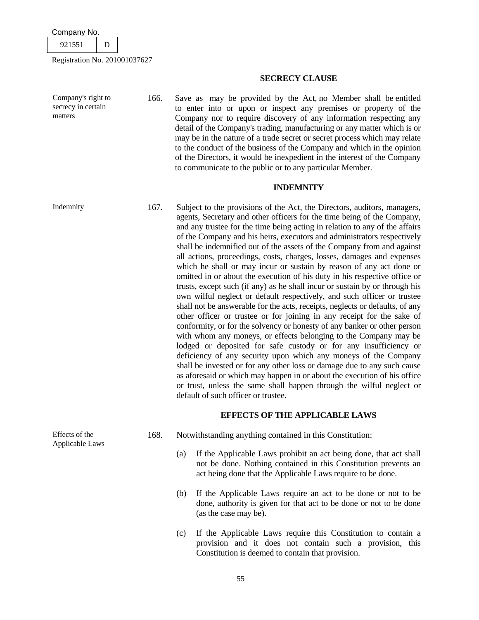

Company's right to secrecy in certain

matters

Registration No. 201001037627

### **SECRECY CLAUSE**

166. Save as may be provided by the Act, no Member shall be entitled to enter into or upon or inspect any premises or property of the Company nor to require discovery of any information respecting any detail of the Company's trading, manufacturing or any matter which is or may be in the nature of a trade secret or secret process which may relate to the conduct of the business of the Company and which in the opinion of the Directors, it would be inexpedient in the interest of the Company to communicate to the public or to any particular Member.

# **INDEMNITY**

Indemnity 167. Subject to the provisions of the Act, the Directors, auditors, managers, agents, Secretary and other officers for the time being of the Company, and any trustee for the time being acting in relation to any of the affairs of the Company and his heirs, executors and administrators respectively shall be indemnified out of the assets of the Company from and against all actions, proceedings, costs, charges, losses, damages and expenses which he shall or may incur or sustain by reason of any act done or omitted in or about the execution of his duty in his respective office or trusts, except such (if any) as he shall incur or sustain by or through his own wilful neglect or default respectively, and such officer or trustee shall not be answerable for the acts, receipts, neglects or defaults, of any other officer or trustee or for joining in any receipt for the sake of conformity, or for the solvency or honesty of any banker or other person with whom any moneys, or effects belonging to the Company may be lodged or deposited for safe custody or for any insufficiency or deficiency of any security upon which any moneys of the Company shall be invested or for any other loss or damage due to any such cause as aforesaid or which may happen in or about the execution of his office or trust, unless the same shall happen through the wilful neglect or default of such officer or trustee.

# **EFFECTS OF THE APPLICABLE LAWS**

- 168. Notwithstanding anything contained in this Constitution:
	- (a) If the Applicable Laws prohibit an act being done, that act shall not be done. Nothing contained in this Constitution prevents an act being done that the Applicable Laws require to be done.
	- (b) If the Applicable Laws require an act to be done or not to be done, authority is given for that act to be done or not to be done (as the case may be).
	- (c) If the Applicable Laws require this Constitution to contain a provision and it does not contain such a provision, this Constitution is deemed to contain that provision.

Effects of the Applicable Laws